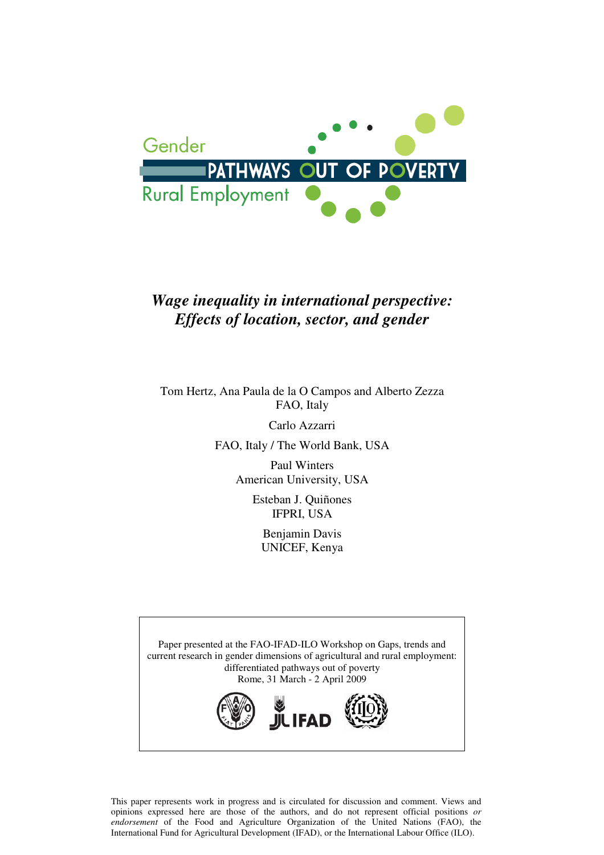

### *Wage inequality in international perspective: Effects of location, sector, and gender*

Tom Hertz, Ana Paula de la O Campos and Alberto Zezza FAO, Italy

Carlo Azzarri

FAO, Italy / The World Bank, USA

Paul Winters American University, USA

> Esteban J. Quiñones IFPRI, USA

> > Benjamin Davis UNICEF, Kenya



This paper represents work in progress and is circulated for discussion and comment. Views and opinions expressed here are those of the authors, and do not represent official positions *or endorsement* of the Food and Agriculture Organization of the United Nations (FAO), the International Fund for Agricultural Development (IFAD), or the International Labour Office (ILO).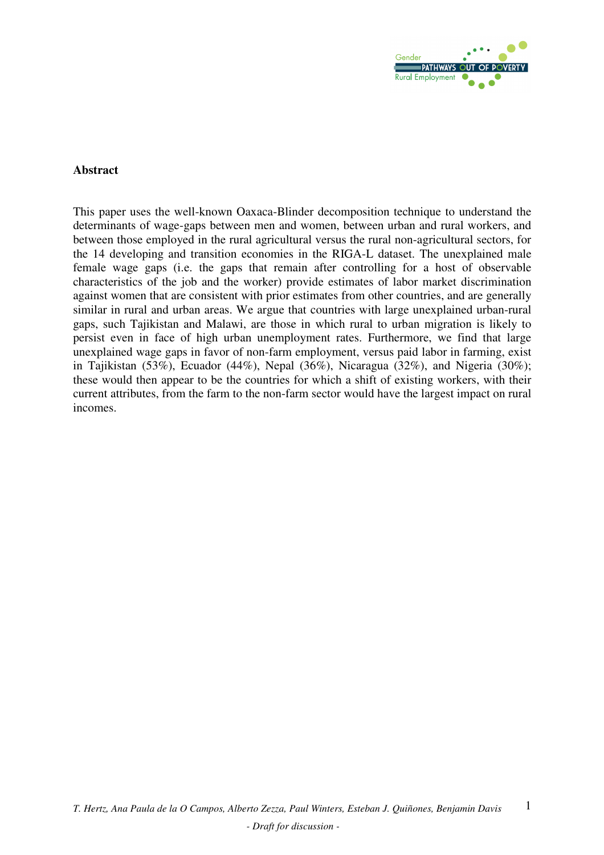

### **Abstract**

This paper uses the well-known Oaxaca-Blinder decomposition technique to understand the determinants of wage-gaps between men and women, between urban and rural workers, and between those employed in the rural agricultural versus the rural non-agricultural sectors, for the 14 developing and transition economies in the RIGA-L dataset. The unexplained male female wage gaps (i.e. the gaps that remain after controlling for a host of observable characteristics of the job and the worker) provide estimates of labor market discrimination against women that are consistent with prior estimates from other countries, and are generally similar in rural and urban areas. We argue that countries with large unexplained urban-rural gaps, such Tajikistan and Malawi, are those in which rural to urban migration is likely to persist even in face of high urban unemployment rates. Furthermore, we find that large unexplained wage gaps in favor of non-farm employment, versus paid labor in farming, exist in Tajikistan (53%), Ecuador (44%), Nepal (36%), Nicaragua (32%), and Nigeria (30%); these would then appear to be the countries for which a shift of existing workers, with their current attributes, from the farm to the non-farm sector would have the largest impact on rural incomes.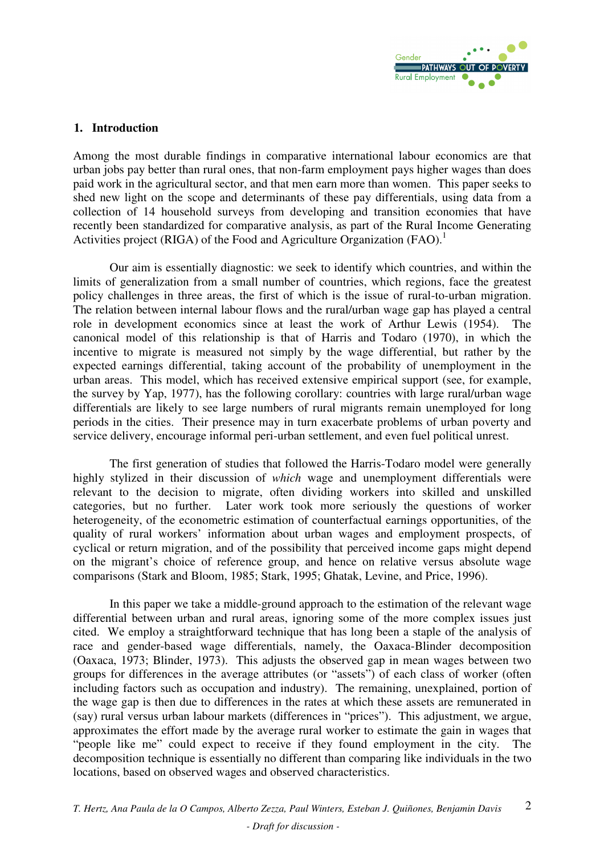

### **1. Introduction**

Among the most durable findings in comparative international labour economics are that urban jobs pay better than rural ones, that non-farm employment pays higher wages than does paid work in the agricultural sector, and that men earn more than women. This paper seeks to shed new light on the scope and determinants of these pay differentials, using data from a collection of 14 household surveys from developing and transition economies that have recently been standardized for comparative analysis, as part of the Rural Income Generating Activities project (RIGA) of the Food and Agriculture Organization (FAO).<sup>1</sup>

 Our aim is essentially diagnostic: we seek to identify which countries, and within the limits of generalization from a small number of countries, which regions, face the greatest policy challenges in three areas, the first of which is the issue of rural-to-urban migration. The relation between internal labour flows and the rural/urban wage gap has played a central role in development economics since at least the work of Arthur Lewis (1954). The canonical model of this relationship is that of Harris and Todaro (1970), in which the incentive to migrate is measured not simply by the wage differential, but rather by the expected earnings differential, taking account of the probability of unemployment in the urban areas. This model, which has received extensive empirical support (see, for example, the survey by Yap, 1977), has the following corollary: countries with large rural/urban wage differentials are likely to see large numbers of rural migrants remain unemployed for long periods in the cities. Their presence may in turn exacerbate problems of urban poverty and service delivery, encourage informal peri-urban settlement, and even fuel political unrest.

 The first generation of studies that followed the Harris-Todaro model were generally highly stylized in their discussion of *which* wage and unemployment differentials were relevant to the decision to migrate, often dividing workers into skilled and unskilled categories, but no further. Later work took more seriously the questions of worker heterogeneity, of the econometric estimation of counterfactual earnings opportunities, of the quality of rural workers' information about urban wages and employment prospects, of cyclical or return migration, and of the possibility that perceived income gaps might depend on the migrant's choice of reference group, and hence on relative versus absolute wage comparisons (Stark and Bloom, 1985; Stark, 1995; Ghatak, Levine, and Price, 1996).

 In this paper we take a middle-ground approach to the estimation of the relevant wage differential between urban and rural areas, ignoring some of the more complex issues just cited. We employ a straightforward technique that has long been a staple of the analysis of race and gender-based wage differentials, namely, the Oaxaca-Blinder decomposition (Oaxaca, 1973; Blinder, 1973). This adjusts the observed gap in mean wages between two groups for differences in the average attributes (or "assets") of each class of worker (often including factors such as occupation and industry). The remaining, unexplained, portion of the wage gap is then due to differences in the rates at which these assets are remunerated in (say) rural versus urban labour markets (differences in "prices"). This adjustment, we argue, approximates the effort made by the average rural worker to estimate the gain in wages that "people like me" could expect to receive if they found employment in the city. The decomposition technique is essentially no different than comparing like individuals in the two locations, based on observed wages and observed characteristics.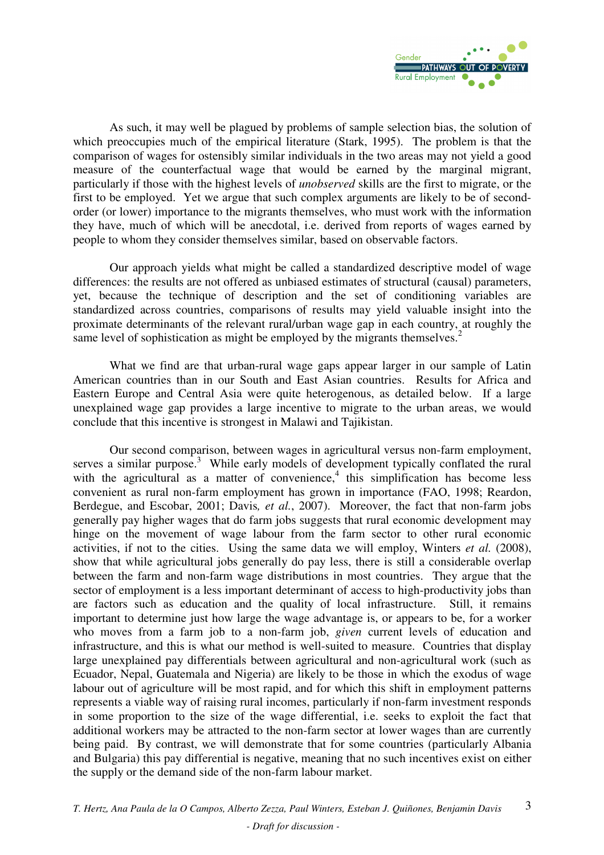

 As such, it may well be plagued by problems of sample selection bias, the solution of which preoccupies much of the empirical literature (Stark, 1995). The problem is that the comparison of wages for ostensibly similar individuals in the two areas may not yield a good measure of the counterfactual wage that would be earned by the marginal migrant, particularly if those with the highest levels of *unobserved* skills are the first to migrate, or the first to be employed. Yet we argue that such complex arguments are likely to be of secondorder (or lower) importance to the migrants themselves, who must work with the information they have, much of which will be anecdotal, i.e. derived from reports of wages earned by people to whom they consider themselves similar, based on observable factors.

 Our approach yields what might be called a standardized descriptive model of wage differences: the results are not offered as unbiased estimates of structural (causal) parameters, yet, because the technique of description and the set of conditioning variables are standardized across countries, comparisons of results may yield valuable insight into the proximate determinants of the relevant rural/urban wage gap in each country, at roughly the same level of sophistication as might be employed by the migrants themselves.<sup>2</sup>

 What we find are that urban-rural wage gaps appear larger in our sample of Latin American countries than in our South and East Asian countries. Results for Africa and Eastern Europe and Central Asia were quite heterogenous, as detailed below. If a large unexplained wage gap provides a large incentive to migrate to the urban areas, we would conclude that this incentive is strongest in Malawi and Tajikistan.

 Our second comparison, between wages in agricultural versus non-farm employment, serves a similar purpose.<sup>3</sup> While early models of development typically conflated the rural with the agricultural as a matter of convenience, $4$  this simplification has become less convenient as rural non-farm employment has grown in importance (FAO, 1998; Reardon, Berdegue, and Escobar, 2001; Davis*, et al.*, 2007). Moreover, the fact that non-farm jobs generally pay higher wages that do farm jobs suggests that rural economic development may hinge on the movement of wage labour from the farm sector to other rural economic activities, if not to the cities. Using the same data we will employ, Winters *et al.* (2008), show that while agricultural jobs generally do pay less, there is still a considerable overlap between the farm and non-farm wage distributions in most countries. They argue that the sector of employment is a less important determinant of access to high-productivity jobs than are factors such as education and the quality of local infrastructure. Still, it remains important to determine just how large the wage advantage is, or appears to be, for a worker who moves from a farm job to a non-farm job, *given* current levels of education and infrastructure, and this is what our method is well-suited to measure. Countries that display large unexplained pay differentials between agricultural and non-agricultural work (such as Ecuador, Nepal, Guatemala and Nigeria) are likely to be those in which the exodus of wage labour out of agriculture will be most rapid, and for which this shift in employment patterns represents a viable way of raising rural incomes, particularly if non-farm investment responds in some proportion to the size of the wage differential, i.e. seeks to exploit the fact that additional workers may be attracted to the non-farm sector at lower wages than are currently being paid. By contrast, we will demonstrate that for some countries (particularly Albania and Bulgaria) this pay differential is negative, meaning that no such incentives exist on either the supply or the demand side of the non-farm labour market.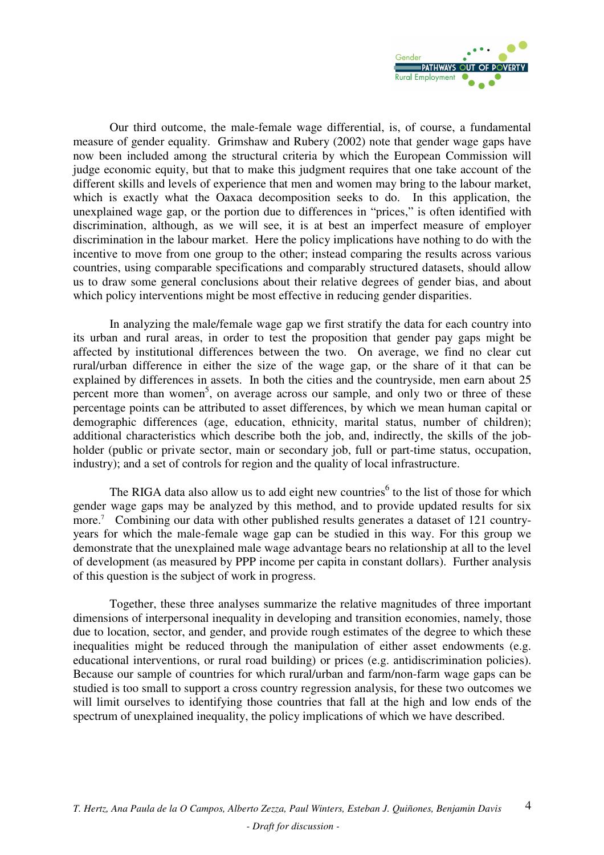

 Our third outcome, the male-female wage differential, is, of course, a fundamental measure of gender equality. Grimshaw and Rubery (2002) note that gender wage gaps have now been included among the structural criteria by which the European Commission will judge economic equity, but that to make this judgment requires that one take account of the different skills and levels of experience that men and women may bring to the labour market, which is exactly what the Oaxaca decomposition seeks to do. In this application, the unexplained wage gap, or the portion due to differences in "prices," is often identified with discrimination, although, as we will see, it is at best an imperfect measure of employer discrimination in the labour market. Here the policy implications have nothing to do with the incentive to move from one group to the other; instead comparing the results across various countries, using comparable specifications and comparably structured datasets, should allow us to draw some general conclusions about their relative degrees of gender bias, and about which policy interventions might be most effective in reducing gender disparities.

 In analyzing the male/female wage gap we first stratify the data for each country into its urban and rural areas, in order to test the proposition that gender pay gaps might be affected by institutional differences between the two. On average, we find no clear cut rural/urban difference in either the size of the wage gap, or the share of it that can be explained by differences in assets. In both the cities and the countryside, men earn about 25 percent more than women<sup>5</sup>, on average across our sample, and only two or three of these percentage points can be attributed to asset differences, by which we mean human capital or demographic differences (age, education, ethnicity, marital status, number of children); additional characteristics which describe both the job, and, indirectly, the skills of the jobholder (public or private sector, main or secondary job, full or part-time status, occupation, industry); and a set of controls for region and the quality of local infrastructure.

The RIGA data also allow us to add eight new countries<sup>6</sup> to the list of those for which gender wage gaps may be analyzed by this method, and to provide updated results for six more.<sup>7</sup> Combining our data with other published results generates a dataset of 121 countryyears for which the male-female wage gap can be studied in this way. For this group we demonstrate that the unexplained male wage advantage bears no relationship at all to the level of development (as measured by PPP income per capita in constant dollars). Further analysis of this question is the subject of work in progress.

 Together, these three analyses summarize the relative magnitudes of three important dimensions of interpersonal inequality in developing and transition economies, namely, those due to location, sector, and gender, and provide rough estimates of the degree to which these inequalities might be reduced through the manipulation of either asset endowments (e.g. educational interventions, or rural road building) or prices (e.g. antidiscrimination policies). Because our sample of countries for which rural/urban and farm/non-farm wage gaps can be studied is too small to support a cross country regression analysis, for these two outcomes we will limit ourselves to identifying those countries that fall at the high and low ends of the spectrum of unexplained inequality, the policy implications of which we have described.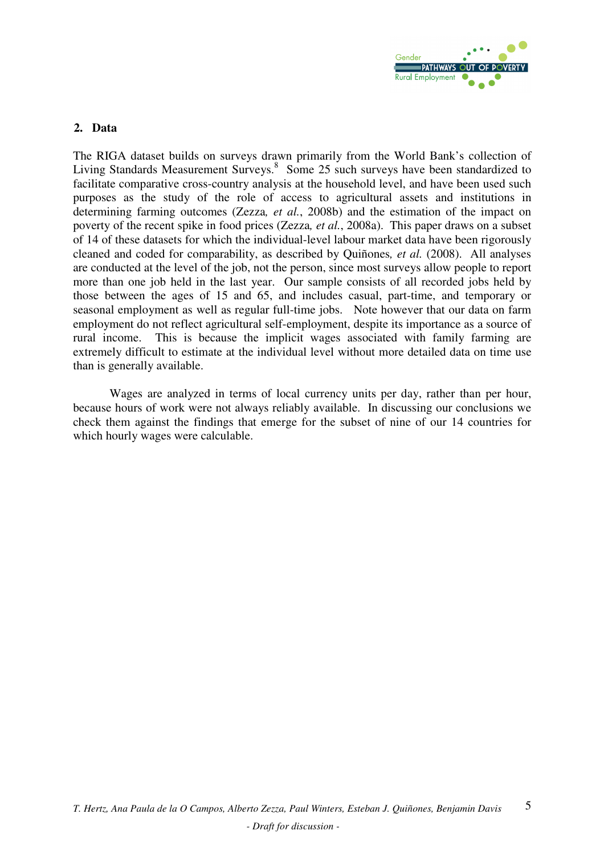

### **2. Data**

The RIGA dataset builds on surveys drawn primarily from the World Bank's collection of Living Standards Measurement Surveys.<sup>8</sup> Some 25 such surveys have been standardized to facilitate comparative cross-country analysis at the household level, and have been used such purposes as the study of the role of access to agricultural assets and institutions in determining farming outcomes (Zezza*, et al.*, 2008b) and the estimation of the impact on poverty of the recent spike in food prices (Zezza*, et al.*, 2008a). This paper draws on a subset of 14 of these datasets for which the individual-level labour market data have been rigorously cleaned and coded for comparability, as described by Quiñones*, et al.* (2008). All analyses are conducted at the level of the job, not the person, since most surveys allow people to report more than one job held in the last year. Our sample consists of all recorded jobs held by those between the ages of 15 and 65, and includes casual, part-time, and temporary or seasonal employment as well as regular full-time jobs. Note however that our data on farm employment do not reflect agricultural self-employment, despite its importance as a source of rural income. This is because the implicit wages associated with family farming are extremely difficult to estimate at the individual level without more detailed data on time use than is generally available.

 Wages are analyzed in terms of local currency units per day, rather than per hour, because hours of work were not always reliably available. In discussing our conclusions we check them against the findings that emerge for the subset of nine of our 14 countries for which hourly wages were calculable.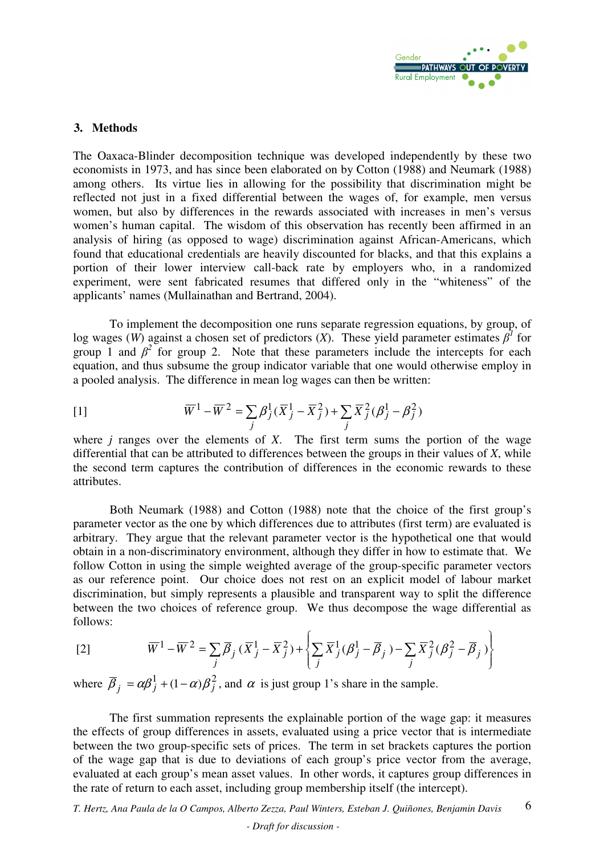

### **3. Methods**

The Oaxaca-Blinder decomposition technique was developed independently by these two economists in 1973, and has since been elaborated on by Cotton (1988) and Neumark (1988) among others. Its virtue lies in allowing for the possibility that discrimination might be reflected not just in a fixed differential between the wages of, for example, men versus women, but also by differences in the rewards associated with increases in men's versus women's human capital. The wisdom of this observation has recently been affirmed in an analysis of hiring (as opposed to wage) discrimination against African-Americans, which found that educational credentials are heavily discounted for blacks, and that this explains a portion of their lower interview call-back rate by employers who, in a randomized experiment, were sent fabricated resumes that differed only in the "whiteness" of the applicants' names (Mullainathan and Bertrand, 2004).

 To implement the decomposition one runs separate regression equations, by group, of log wages (*W*) against a chosen set of predictors (*X*). These yield parameter estimates  $\beta^1$  for group 1 and  $\beta^2$  for group 2. Note that these parameters include the intercepts for each equation, and thus subsume the group indicator variable that one would otherwise employ in a pooled analysis. The difference in mean log wages can then be written:

[1] 
$$
\overline{W}^{1} - \overline{W}^{2} = \sum_{j} \beta_{j}^{1} (\overline{X}_{j}^{1} - \overline{X}_{j}^{2}) + \sum_{j} \overline{X}_{j}^{2} (\beta_{j}^{1} - \beta_{j}^{2})
$$

where *j* ranges over the elements of *X*. The first term sums the portion of the wage differential that can be attributed to differences between the groups in their values of *X*, while the second term captures the contribution of differences in the economic rewards to these attributes.

 Both Neumark (1988) and Cotton (1988) note that the choice of the first group's parameter vector as the one by which differences due to attributes (first term) are evaluated is arbitrary. They argue that the relevant parameter vector is the hypothetical one that would obtain in a non-discriminatory environment, although they differ in how to estimate that. We follow Cotton in using the simple weighted average of the group-specific parameter vectors as our reference point. Our choice does not rest on an explicit model of labour market discrimination, but simply represents a plausible and transparent way to split the difference between the two choices of reference group. We thus decompose the wage differential as follows:

$$
[2] \qquad \qquad \overline{W}^1 - \overline{W}^2 = \sum_j \overline{\beta}_j \left( \overline{X}_j^1 - \overline{X}_j^2 \right) + \left\{ \sum_j \overline{X}_j^1 (\beta_j^1 - \overline{\beta}_j) - \sum_j \overline{X}_j^2 (\beta_j^2 - \overline{\beta}_j) \right\}
$$

where  $\overline{\beta}_j = \alpha \beta_j^1 + (1 - \alpha) \beta_j^2$ , and  $\alpha$  is just group 1's share in the sample.

 The first summation represents the explainable portion of the wage gap: it measures the effects of group differences in assets, evaluated using a price vector that is intermediate between the two group-specific sets of prices. The term in set brackets captures the portion of the wage gap that is due to deviations of each group's price vector from the average, evaluated at each group's mean asset values. In other words, it captures group differences in the rate of return to each asset, including group membership itself (the intercept).

*T. Hertz, Ana Paula de la O Campos, Alberto Zezza, Paul Winters, Esteban J. Quiñones, Benjamin Davis*  6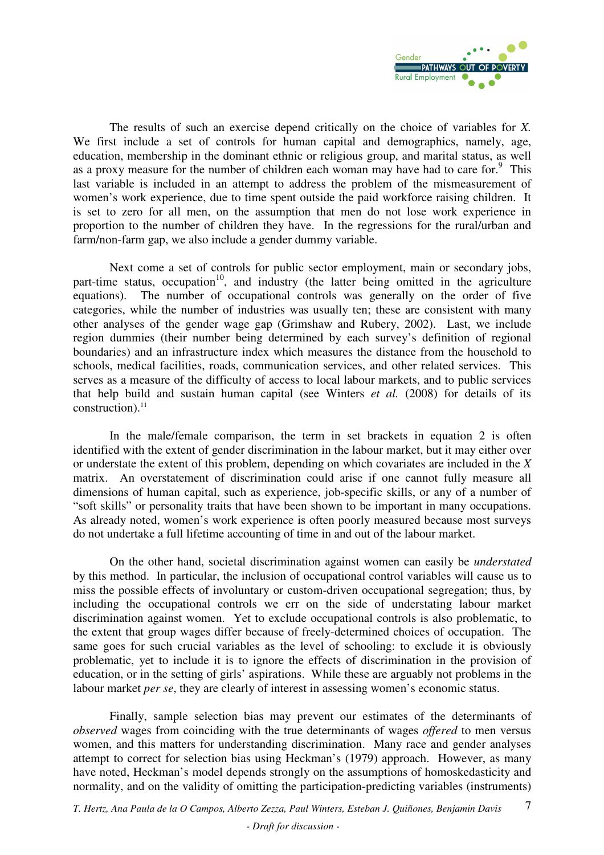

 The results of such an exercise depend critically on the choice of variables for *X.*  We first include a set of controls for human capital and demographics, namely, age, education, membership in the dominant ethnic or religious group, and marital status, as well as a proxy measure for the number of children each woman may have had to care for. $9$  This last variable is included in an attempt to address the problem of the mismeasurement of women's work experience, due to time spent outside the paid workforce raising children. It is set to zero for all men, on the assumption that men do not lose work experience in proportion to the number of children they have. In the regressions for the rural/urban and farm/non-farm gap, we also include a gender dummy variable.

 Next come a set of controls for public sector employment, main or secondary jobs, part-time status, occupation<sup>10</sup>, and industry (the latter being omitted in the agriculture equations). The number of occupational controls was generally on the order of five categories, while the number of industries was usually ten; these are consistent with many other analyses of the gender wage gap (Grimshaw and Rubery, 2002). Last, we include region dummies (their number being determined by each survey's definition of regional boundaries) and an infrastructure index which measures the distance from the household to schools, medical facilities, roads, communication services, and other related services. This serves as a measure of the difficulty of access to local labour markets, and to public services that help build and sustain human capital (see Winters *et al.* (2008) for details of its construction). $^{11}$ 

 In the male/female comparison, the term in set brackets in equation 2 is often identified with the extent of gender discrimination in the labour market, but it may either over or understate the extent of this problem, depending on which covariates are included in the *X* matrix. An overstatement of discrimination could arise if one cannot fully measure all dimensions of human capital, such as experience, job-specific skills, or any of a number of "soft skills" or personality traits that have been shown to be important in many occupations. As already noted, women's work experience is often poorly measured because most surveys do not undertake a full lifetime accounting of time in and out of the labour market.

 On the other hand, societal discrimination against women can easily be *understated*  by this method. In particular, the inclusion of occupational control variables will cause us to miss the possible effects of involuntary or custom-driven occupational segregation; thus, by including the occupational controls we err on the side of understating labour market discrimination against women. Yet to exclude occupational controls is also problematic, to the extent that group wages differ because of freely-determined choices of occupation. The same goes for such crucial variables as the level of schooling: to exclude it is obviously problematic, yet to include it is to ignore the effects of discrimination in the provision of education, or in the setting of girls' aspirations. While these are arguably not problems in the labour market *per se*, they are clearly of interest in assessing women's economic status.

 Finally, sample selection bias may prevent our estimates of the determinants of *observed* wages from coinciding with the true determinants of wages *offered* to men versus women, and this matters for understanding discrimination. Many race and gender analyses attempt to correct for selection bias using Heckman's (1979) approach. However, as many have noted, Heckman's model depends strongly on the assumptions of homoskedasticity and normality, and on the validity of omitting the participation-predicting variables (instruments)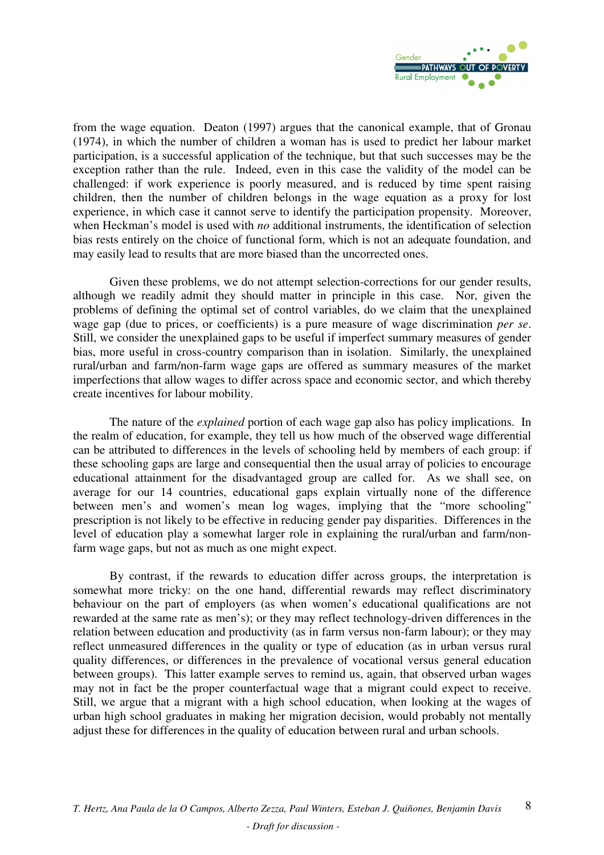

from the wage equation. Deaton (1997) argues that the canonical example, that of Gronau (1974), in which the number of children a woman has is used to predict her labour market participation, is a successful application of the technique, but that such successes may be the exception rather than the rule. Indeed, even in this case the validity of the model can be challenged: if work experience is poorly measured, and is reduced by time spent raising children, then the number of children belongs in the wage equation as a proxy for lost experience, in which case it cannot serve to identify the participation propensity. Moreover, when Heckman's model is used with *no* additional instruments, the identification of selection bias rests entirely on the choice of functional form, which is not an adequate foundation, and may easily lead to results that are more biased than the uncorrected ones.

 Given these problems, we do not attempt selection-corrections for our gender results, although we readily admit they should matter in principle in this case. Nor, given the problems of defining the optimal set of control variables, do we claim that the unexplained wage gap (due to prices, or coefficients) is a pure measure of wage discrimination *per se*. Still, we consider the unexplained gaps to be useful if imperfect summary measures of gender bias, more useful in cross-country comparison than in isolation. Similarly, the unexplained rural/urban and farm/non-farm wage gaps are offered as summary measures of the market imperfections that allow wages to differ across space and economic sector, and which thereby create incentives for labour mobility.

 The nature of the *explained* portion of each wage gap also has policy implications. In the realm of education, for example, they tell us how much of the observed wage differential can be attributed to differences in the levels of schooling held by members of each group: if these schooling gaps are large and consequential then the usual array of policies to encourage educational attainment for the disadvantaged group are called for. As we shall see, on average for our 14 countries, educational gaps explain virtually none of the difference between men's and women's mean log wages, implying that the "more schooling" prescription is not likely to be effective in reducing gender pay disparities. Differences in the level of education play a somewhat larger role in explaining the rural/urban and farm/nonfarm wage gaps, but not as much as one might expect.

 By contrast, if the rewards to education differ across groups, the interpretation is somewhat more tricky: on the one hand, differential rewards may reflect discriminatory behaviour on the part of employers (as when women's educational qualifications are not rewarded at the same rate as men's); or they may reflect technology-driven differences in the relation between education and productivity (as in farm versus non-farm labour); or they may reflect unmeasured differences in the quality or type of education (as in urban versus rural quality differences, or differences in the prevalence of vocational versus general education between groups). This latter example serves to remind us, again, that observed urban wages may not in fact be the proper counterfactual wage that a migrant could expect to receive. Still, we argue that a migrant with a high school education, when looking at the wages of urban high school graduates in making her migration decision, would probably not mentally adjust these for differences in the quality of education between rural and urban schools.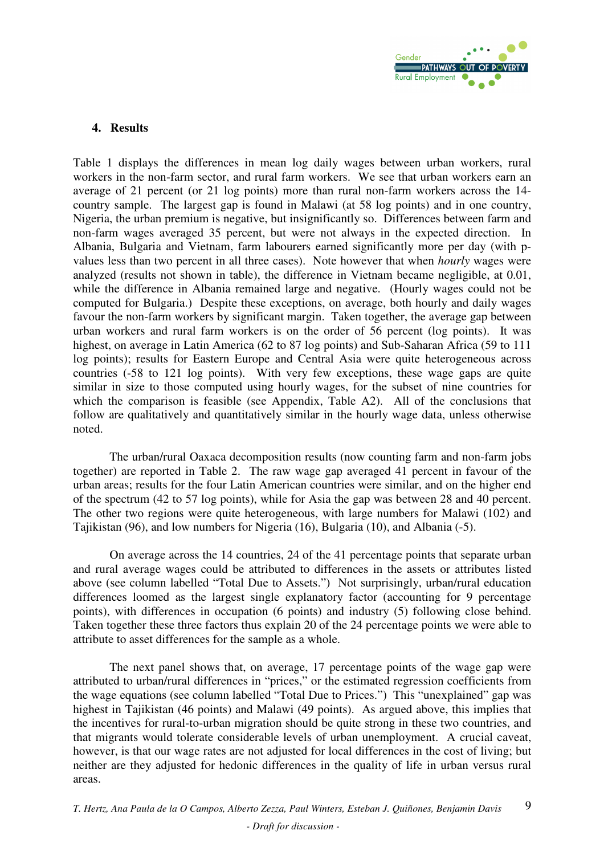

### **4. Results**

Table 1 displays the differences in mean log daily wages between urban workers, rural workers in the non-farm sector, and rural farm workers. We see that urban workers earn an average of 21 percent (or 21 log points) more than rural non-farm workers across the 14 country sample. The largest gap is found in Malawi (at 58 log points) and in one country, Nigeria, the urban premium is negative, but insignificantly so. Differences between farm and non-farm wages averaged 35 percent, but were not always in the expected direction. In Albania, Bulgaria and Vietnam, farm labourers earned significantly more per day (with pvalues less than two percent in all three cases). Note however that when *hourly* wages were analyzed (results not shown in table), the difference in Vietnam became negligible, at 0.01, while the difference in Albania remained large and negative. (Hourly wages could not be computed for Bulgaria.) Despite these exceptions, on average, both hourly and daily wages favour the non-farm workers by significant margin. Taken together, the average gap between urban workers and rural farm workers is on the order of 56 percent (log points). It was highest, on average in Latin America (62 to 87 log points) and Sub-Saharan Africa (59 to 111 log points); results for Eastern Europe and Central Asia were quite heterogeneous across countries (-58 to 121 log points). With very few exceptions, these wage gaps are quite similar in size to those computed using hourly wages, for the subset of nine countries for which the comparison is feasible (see Appendix, Table A2). All of the conclusions that follow are qualitatively and quantitatively similar in the hourly wage data, unless otherwise noted.

 The urban/rural Oaxaca decomposition results (now counting farm and non-farm jobs together) are reported in Table 2. The raw wage gap averaged 41 percent in favour of the urban areas; results for the four Latin American countries were similar, and on the higher end of the spectrum (42 to 57 log points), while for Asia the gap was between 28 and 40 percent. The other two regions were quite heterogeneous, with large numbers for Malawi (102) and Tajikistan (96), and low numbers for Nigeria (16), Bulgaria (10), and Albania (-5).

 On average across the 14 countries, 24 of the 41 percentage points that separate urban and rural average wages could be attributed to differences in the assets or attributes listed above (see column labelled "Total Due to Assets.") Not surprisingly, urban/rural education differences loomed as the largest single explanatory factor (accounting for 9 percentage points), with differences in occupation (6 points) and industry (5) following close behind. Taken together these three factors thus explain 20 of the 24 percentage points we were able to attribute to asset differences for the sample as a whole.

 The next panel shows that, on average, 17 percentage points of the wage gap were attributed to urban/rural differences in "prices," or the estimated regression coefficients from the wage equations (see column labelled "Total Due to Prices.") This "unexplained" gap was highest in Tajikistan (46 points) and Malawi (49 points). As argued above, this implies that the incentives for rural-to-urban migration should be quite strong in these two countries, and that migrants would tolerate considerable levels of urban unemployment. A crucial caveat, however, is that our wage rates are not adjusted for local differences in the cost of living; but neither are they adjusted for hedonic differences in the quality of life in urban versus rural areas.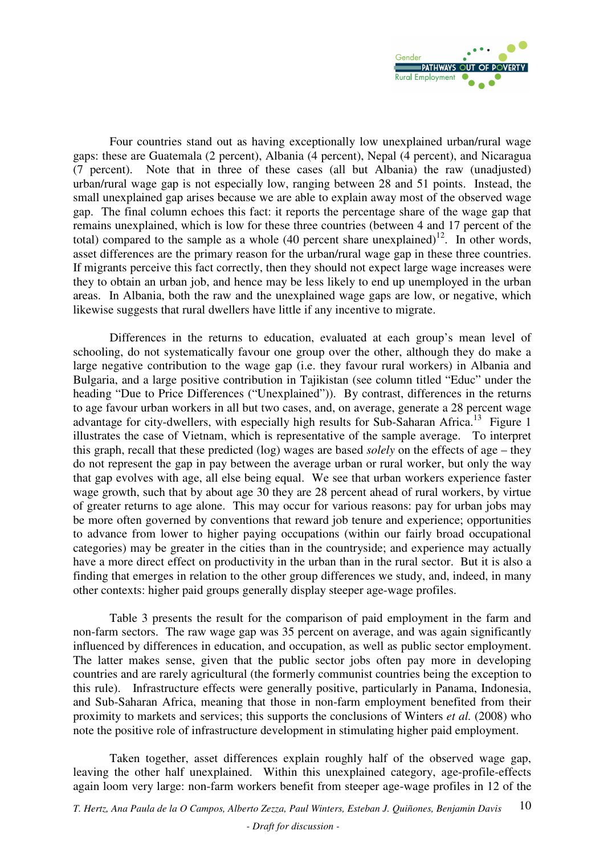

 Four countries stand out as having exceptionally low unexplained urban/rural wage gaps: these are Guatemala (2 percent), Albania (4 percent), Nepal (4 percent), and Nicaragua (7 percent). Note that in three of these cases (all but Albania) the raw (unadjusted) urban/rural wage gap is not especially low, ranging between 28 and 51 points. Instead, the small unexplained gap arises because we are able to explain away most of the observed wage gap. The final column echoes this fact: it reports the percentage share of the wage gap that remains unexplained, which is low for these three countries (between 4 and 17 percent of the total) compared to the sample as a whole (40 percent share unexplained)<sup>12</sup>. In other words, asset differences are the primary reason for the urban/rural wage gap in these three countries. If migrants perceive this fact correctly, then they should not expect large wage increases were they to obtain an urban job, and hence may be less likely to end up unemployed in the urban areas. In Albania, both the raw and the unexplained wage gaps are low, or negative, which likewise suggests that rural dwellers have little if any incentive to migrate.

 Differences in the returns to education, evaluated at each group's mean level of schooling, do not systematically favour one group over the other, although they do make a large negative contribution to the wage gap (i.e. they favour rural workers) in Albania and Bulgaria, and a large positive contribution in Tajikistan (see column titled "Educ" under the heading "Due to Price Differences ("Unexplained")). By contrast, differences in the returns to age favour urban workers in all but two cases, and, on average, generate a 28 percent wage advantage for city-dwellers, with especially high results for Sub-Saharan Africa.<sup>13</sup> Figure 1 illustrates the case of Vietnam, which is representative of the sample average. To interpret this graph, recall that these predicted (log) wages are based *solely* on the effects of age – they do not represent the gap in pay between the average urban or rural worker, but only the way that gap evolves with age, all else being equal. We see that urban workers experience faster wage growth, such that by about age 30 they are 28 percent ahead of rural workers, by virtue of greater returns to age alone. This may occur for various reasons: pay for urban jobs may be more often governed by conventions that reward job tenure and experience; opportunities to advance from lower to higher paying occupations (within our fairly broad occupational categories) may be greater in the cities than in the countryside; and experience may actually have a more direct effect on productivity in the urban than in the rural sector. But it is also a finding that emerges in relation to the other group differences we study, and, indeed, in many other contexts: higher paid groups generally display steeper age-wage profiles.

 Table 3 presents the result for the comparison of paid employment in the farm and non-farm sectors. The raw wage gap was 35 percent on average, and was again significantly influenced by differences in education, and occupation, as well as public sector employment. The latter makes sense, given that the public sector jobs often pay more in developing countries and are rarely agricultural (the formerly communist countries being the exception to this rule). Infrastructure effects were generally positive, particularly in Panama, Indonesia, and Sub-Saharan Africa, meaning that those in non-farm employment benefited from their proximity to markets and services; this supports the conclusions of Winters *et al.* (2008) who note the positive role of infrastructure development in stimulating higher paid employment.

 Taken together, asset differences explain roughly half of the observed wage gap, leaving the other half unexplained. Within this unexplained category, age-profile-effects again loom very large: non-farm workers benefit from steeper age-wage profiles in 12 of the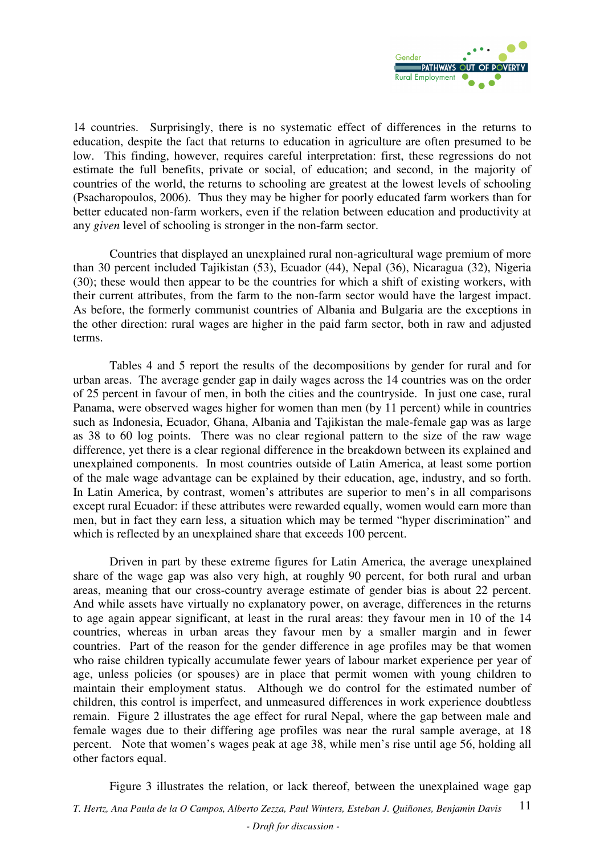

14 countries. Surprisingly, there is no systematic effect of differences in the returns to education, despite the fact that returns to education in agriculture are often presumed to be low. This finding, however, requires careful interpretation: first, these regressions do not estimate the full benefits, private or social, of education; and second, in the majority of countries of the world, the returns to schooling are greatest at the lowest levels of schooling (Psacharopoulos, 2006). Thus they may be higher for poorly educated farm workers than for better educated non-farm workers, even if the relation between education and productivity at any *given* level of schooling is stronger in the non-farm sector.

 Countries that displayed an unexplained rural non-agricultural wage premium of more than 30 percent included Tajikistan (53), Ecuador (44), Nepal (36), Nicaragua (32), Nigeria (30); these would then appear to be the countries for which a shift of existing workers, with their current attributes, from the farm to the non-farm sector would have the largest impact. As before, the formerly communist countries of Albania and Bulgaria are the exceptions in the other direction: rural wages are higher in the paid farm sector, both in raw and adjusted terms.

 Tables 4 and 5 report the results of the decompositions by gender for rural and for urban areas. The average gender gap in daily wages across the 14 countries was on the order of 25 percent in favour of men, in both the cities and the countryside. In just one case, rural Panama, were observed wages higher for women than men (by 11 percent) while in countries such as Indonesia, Ecuador, Ghana, Albania and Tajikistan the male-female gap was as large as 38 to 60 log points. There was no clear regional pattern to the size of the raw wage difference, yet there is a clear regional difference in the breakdown between its explained and unexplained components. In most countries outside of Latin America, at least some portion of the male wage advantage can be explained by their education, age, industry, and so forth. In Latin America, by contrast, women's attributes are superior to men's in all comparisons except rural Ecuador: if these attributes were rewarded equally, women would earn more than men, but in fact they earn less, a situation which may be termed "hyper discrimination" and which is reflected by an unexplained share that exceeds 100 percent.

 Driven in part by these extreme figures for Latin America, the average unexplained share of the wage gap was also very high, at roughly 90 percent, for both rural and urban areas, meaning that our cross-country average estimate of gender bias is about 22 percent. And while assets have virtually no explanatory power, on average, differences in the returns to age again appear significant, at least in the rural areas: they favour men in 10 of the 14 countries, whereas in urban areas they favour men by a smaller margin and in fewer countries. Part of the reason for the gender difference in age profiles may be that women who raise children typically accumulate fewer years of labour market experience per year of age, unless policies (or spouses) are in place that permit women with young children to maintain their employment status. Although we do control for the estimated number of children, this control is imperfect, and unmeasured differences in work experience doubtless remain. Figure 2 illustrates the age effect for rural Nepal, where the gap between male and female wages due to their differing age profiles was near the rural sample average, at 18 percent. Note that women's wages peak at age 38, while men's rise until age 56, holding all other factors equal.

*T. Hertz, Ana Paula de la O Campos, Alberto Zezza, Paul Winters, Esteban J. Quiñones, Benjamin Davis - Draft for discussion -*  11 Figure 3 illustrates the relation, or lack thereof, between the unexplained wage gap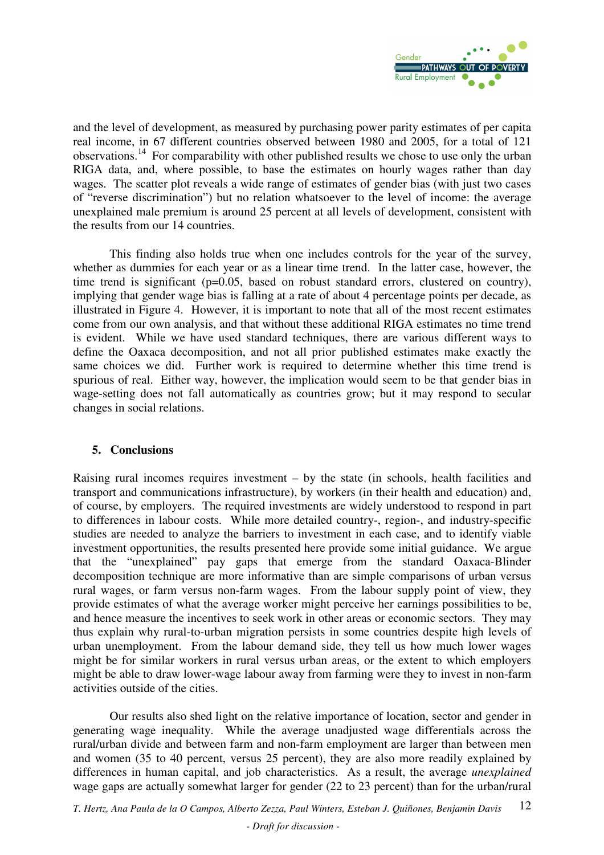

and the level of development, as measured by purchasing power parity estimates of per capita real income, in 67 different countries observed between 1980 and 2005, for a total of 121 observations.<sup>14</sup> For comparability with other published results we chose to use only the urban RIGA data, and, where possible, to base the estimates on hourly wages rather than day wages. The scatter plot reveals a wide range of estimates of gender bias (with just two cases of "reverse discrimination") but no relation whatsoever to the level of income: the average unexplained male premium is around 25 percent at all levels of development, consistent with the results from our 14 countries.

 This finding also holds true when one includes controls for the year of the survey, whether as dummies for each year or as a linear time trend. In the latter case, however, the time trend is significant (p=0.05, based on robust standard errors, clustered on country), implying that gender wage bias is falling at a rate of about 4 percentage points per decade, as illustrated in Figure 4. However, it is important to note that all of the most recent estimates come from our own analysis, and that without these additional RIGA estimates no time trend is evident. While we have used standard techniques, there are various different ways to define the Oaxaca decomposition, and not all prior published estimates make exactly the same choices we did. Further work is required to determine whether this time trend is spurious of real. Either way, however, the implication would seem to be that gender bias in wage-setting does not fall automatically as countries grow; but it may respond to secular changes in social relations.

### **5. Conclusions**

Raising rural incomes requires investment – by the state (in schools, health facilities and transport and communications infrastructure), by workers (in their health and education) and, of course, by employers. The required investments are widely understood to respond in part to differences in labour costs. While more detailed country-, region-, and industry-specific studies are needed to analyze the barriers to investment in each case, and to identify viable investment opportunities, the results presented here provide some initial guidance. We argue that the "unexplained" pay gaps that emerge from the standard Oaxaca-Blinder decomposition technique are more informative than are simple comparisons of urban versus rural wages, or farm versus non-farm wages. From the labour supply point of view, they provide estimates of what the average worker might perceive her earnings possibilities to be, and hence measure the incentives to seek work in other areas or economic sectors. They may thus explain why rural-to-urban migration persists in some countries despite high levels of urban unemployment. From the labour demand side, they tell us how much lower wages might be for similar workers in rural versus urban areas, or the extent to which employers might be able to draw lower-wage labour away from farming were they to invest in non-farm activities outside of the cities.

 Our results also shed light on the relative importance of location, sector and gender in generating wage inequality. While the average unadjusted wage differentials across the rural/urban divide and between farm and non-farm employment are larger than between men and women (35 to 40 percent, versus 25 percent), they are also more readily explained by differences in human capital, and job characteristics. As a result, the average *unexplained* wage gaps are actually somewhat larger for gender (22 to 23 percent) than for the urban/rural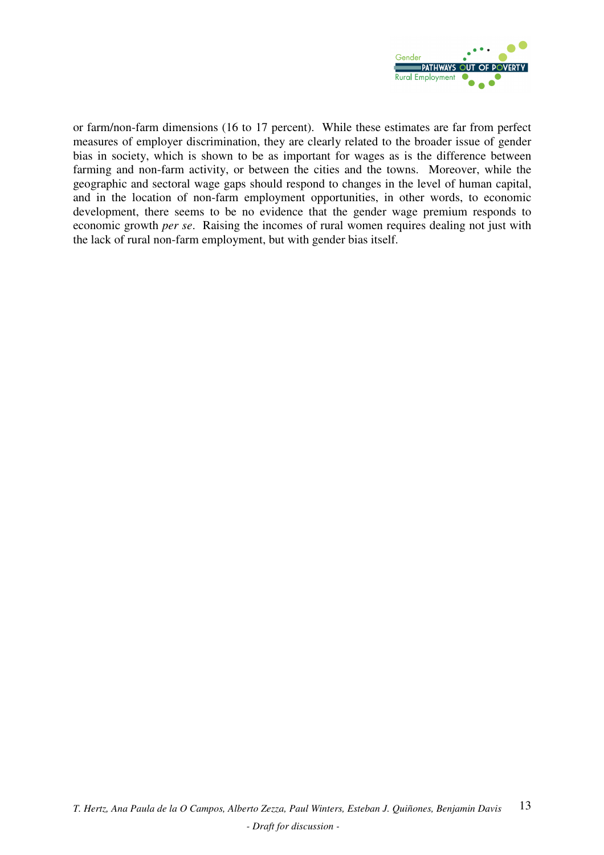

or farm/non-farm dimensions (16 to 17 percent). While these estimates are far from perfect measures of employer discrimination, they are clearly related to the broader issue of gender bias in society, which is shown to be as important for wages as is the difference between farming and non-farm activity, or between the cities and the towns. Moreover, while the geographic and sectoral wage gaps should respond to changes in the level of human capital, and in the location of non-farm employment opportunities, in other words, to economic development, there seems to be no evidence that the gender wage premium responds to economic growth *per se*. Raising the incomes of rural women requires dealing not just with the lack of rural non-farm employment, but with gender bias itself.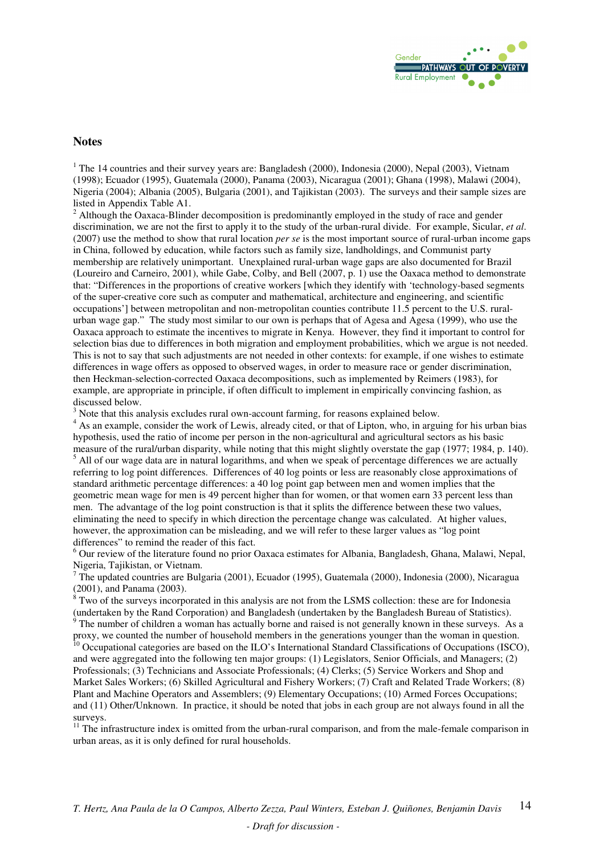

#### **Notes**

<sup>1</sup> The 14 countries and their survey years are: Bangladesh (2000), Indonesia (2000), Nepal (2003), Vietnam (1998); Ecuador (1995), Guatemala (2000), Panama (2003), Nicaragua (2001); Ghana (1998), Malawi (2004), Nigeria (2004); Albania (2005), Bulgaria (2001), and Tajikistan (2003). The surveys and their sample sizes are listed in Appendix Table A1.

<sup>2</sup> Although the Oaxaca-Blinder decomposition is predominantly employed in the study of race and gender discrimination, we are not the first to apply it to the study of the urban-rural divide. For example, Sicular, *et al*. (2007) use the method to show that rural location *per se* is the most important source of rural-urban income gaps in China, followed by education, while factors such as family size, landholdings, and Communist party membership are relatively unimportant. Unexplained rural-urban wage gaps are also documented for Brazil (Loureiro and Carneiro, 2001), while Gabe, Colby, and Bell (2007, p. 1) use the Oaxaca method to demonstrate that: "Differences in the proportions of creative workers [which they identify with 'technology-based segments of the super-creative core such as computer and mathematical, architecture and engineering, and scientific occupations'] between metropolitan and non-metropolitan counties contribute 11.5 percent to the U.S. ruralurban wage gap." The study most similar to our own is perhaps that of Agesa and Agesa (1999), who use the Oaxaca approach to estimate the incentives to migrate in Kenya. However, they find it important to control for selection bias due to differences in both migration and employment probabilities, which we argue is not needed. This is not to say that such adjustments are not needed in other contexts: for example, if one wishes to estimate differences in wage offers as opposed to observed wages, in order to measure race or gender discrimination, then Heckman-selection-corrected Oaxaca decompositions, such as implemented by Reimers (1983), for example, are appropriate in principle, if often difficult to implement in empirically convincing fashion, as discussed below.

 $3$  Note that this analysis excludes rural own-account farming, for reasons explained below.

<sup>4</sup> As an example, consider the work of Lewis, already cited, or that of Lipton, who, in arguing for his urban bias hypothesis, used the ratio of income per person in the non-agricultural and agricultural sectors as his basic measure of the rural/urban disparity, while noting that this might slightly overstate the gap (1977; 1984, p. 140). <sup>5</sup> All of our wage data are in natural logarithms, and when we speak of percentage differences we are actually referring to log point differences. Differences of 40 log points or less are reasonably close approximations of standard arithmetic percentage differences: a 40 log point gap between men and women implies that the geometric mean wage for men is 49 percent higher than for women, or that women earn 33 percent less than men. The advantage of the log point construction is that it splits the difference between these two values, eliminating the need to specify in which direction the percentage change was calculated. At higher values, however, the approximation can be misleading, and we will refer to these larger values as "log point differences" to remind the reader of this fact.

<sup>6</sup> Our review of the literature found no prior Oaxaca estimates for Albania, Bangladesh, Ghana, Malawi, Nepal,

Nigeria, Tajikistan, or Vietnam.<br><sup>7</sup> The updated countries are Bulgaria (2001), Ecuador (1995), Guatemala (2000), Indonesia (2000), Nicaragua

(2001), and Panama (2003).<br><sup>8</sup> Two of the surveys incorporated in this analysis are not from the LSMS collection: these are for Indonesia (undertaken by the Rand Corporation) and Bangladesh (undertaken by the Bangladesh Bureau of Statistics). 9 The number of children a woman has actually borne and raised is not generally known in these surveys. As a

proxy, we counted the number of household members in the generations younger than the woman in question.  $^{10}$  Occupational categories are based on the ILO's International Standard Classifications of Occupations (ISCO),

and were aggregated into the following ten major groups: (1) Legislators, Senior Officials, and Managers; (2) Professionals; (3) Technicians and Associate Professionals; (4) Clerks; (5) Service Workers and Shop and Market Sales Workers; (6) Skilled Agricultural and Fishery Workers; (7) Craft and Related Trade Workers; (8) Plant and Machine Operators and Assemblers; (9) Elementary Occupations; (10) Armed Forces Occupations; and (11) Other/Unknown. In practice, it should be noted that jobs in each group are not always found in all the surveys.

<sup>11</sup> The infrastructure index is omitted from the urban-rural comparison, and from the male-female comparison in urban areas, as it is only defined for rural households.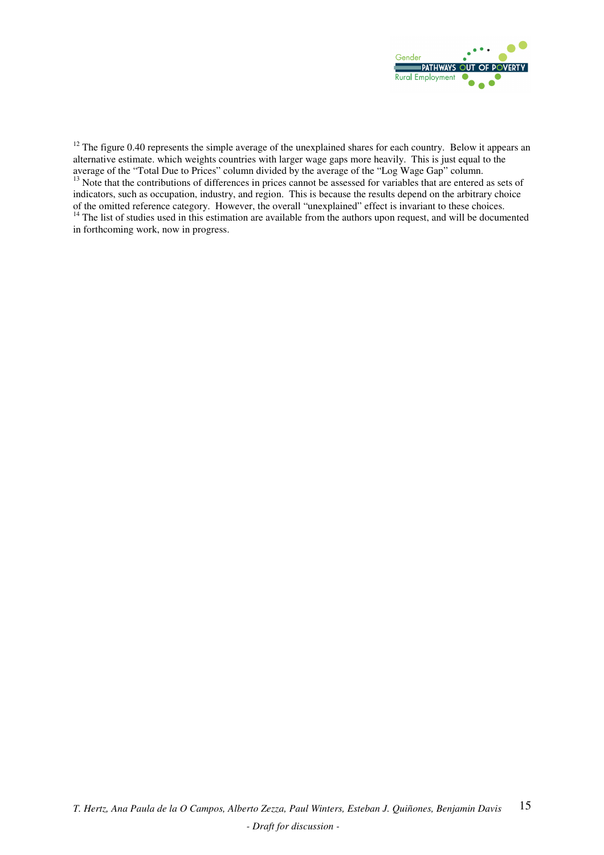

 $12$  The figure 0.40 represents the simple average of the unexplained shares for each country. Below it appears an alternative estimate. which weights countries with larger wage gaps more heavily. This is just equal to the average of the "Total Due to Prices" column divided by the average of the "Log Wage Gap" column. <sup>13</sup> Note that the contributions of differences in prices cannot be assessed for variables that are entered as sets of indicators, such as occupation, industry, and region. This is because the results depend on the arbitrary choice of the omitted reference category. However, the overall "unexplained" effect is invariant to these choices. <sup>14</sup> The list of studies used in this estimation are available from the authors upon request, and will be documented in forthcoming work, now in progress.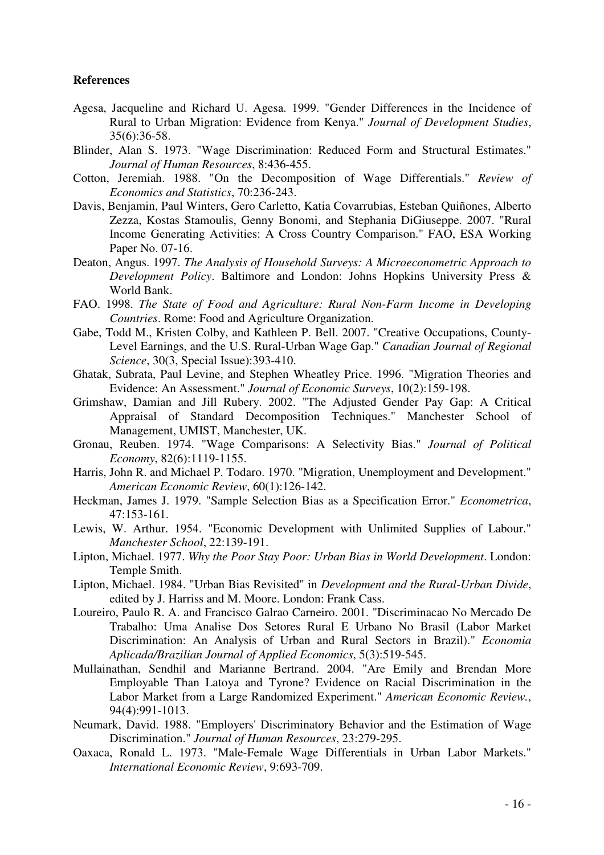### **References**

- Agesa, Jacqueline and Richard U. Agesa. 1999. "Gender Differences in the Incidence of Rural to Urban Migration: Evidence from Kenya." *Journal of Development Studies*, 35(6):36-58.
- Blinder, Alan S. 1973. "Wage Discrimination: Reduced Form and Structural Estimates." *Journal of Human Resources*, 8:436-455.
- Cotton, Jeremiah. 1988. "On the Decomposition of Wage Differentials." *Review of Economics and Statistics*, 70:236-243.
- Davis, Benjamin, Paul Winters, Gero Carletto, Katia Covarrubias, Esteban Quiñones, Alberto Zezza, Kostas Stamoulis, Genny Bonomi, and Stephania DiGiuseppe. 2007. "Rural Income Generating Activities: A Cross Country Comparison." FAO, ESA Working Paper No. 07-16.
- Deaton, Angus. 1997. *The Analysis of Household Surveys: A Microeconometric Approach to Development Policy*. Baltimore and London: Johns Hopkins University Press & World Bank.
- FAO. 1998. *The State of Food and Agriculture: Rural Non-Farm Income in Developing Countries*. Rome: Food and Agriculture Organization.
- Gabe, Todd M., Kristen Colby, and Kathleen P. Bell. 2007. "Creative Occupations, County-Level Earnings, and the U.S. Rural-Urban Wage Gap." *Canadian Journal of Regional Science*, 30(3, Special Issue):393-410.
- Ghatak, Subrata, Paul Levine, and Stephen Wheatley Price. 1996. "Migration Theories and Evidence: An Assessment." *Journal of Economic Surveys*, 10(2):159-198.
- Grimshaw, Damian and Jill Rubery. 2002. "The Adjusted Gender Pay Gap: A Critical Appraisal of Standard Decomposition Techniques." Manchester School of Management, UMIST, Manchester, UK.
- Gronau, Reuben. 1974. "Wage Comparisons: A Selectivity Bias." *Journal of Political Economy*, 82(6):1119-1155.
- Harris, John R. and Michael P. Todaro. 1970. "Migration, Unemployment and Development." *American Economic Review*, 60(1):126-142.
- Heckman, James J. 1979. "Sample Selection Bias as a Specification Error." *Econometrica*, 47:153-161.
- Lewis, W. Arthur. 1954. "Economic Development with Unlimited Supplies of Labour." *Manchester School*, 22:139-191.
- Lipton, Michael. 1977. *Why the Poor Stay Poor: Urban Bias in World Development*. London: Temple Smith.
- Lipton, Michael. 1984. "Urban Bias Revisited" in *Development and the Rural-Urban Divide*, edited by J. Harriss and M. Moore. London: Frank Cass.
- Loureiro, Paulo R. A. and Francisco Galrao Carneiro. 2001. "Discriminacao No Mercado De Trabalho: Uma Analise Dos Setores Rural E Urbano No Brasil (Labor Market Discrimination: An Analysis of Urban and Rural Sectors in Brazil)." *Economia Aplicada/Brazilian Journal of Applied Economics*, 5(3):519-545.
- Mullainathan, Sendhil and Marianne Bertrand. 2004. "Are Emily and Brendan More Employable Than Latoya and Tyrone? Evidence on Racial Discrimination in the Labor Market from a Large Randomized Experiment." *American Economic Review.*, 94(4):991-1013.
- Neumark, David. 1988. "Employers' Discriminatory Behavior and the Estimation of Wage Discrimination." *Journal of Human Resources*, 23:279-295.
- Oaxaca, Ronald L. 1973. "Male-Female Wage Differentials in Urban Labor Markets." *International Economic Review*, 9:693-709.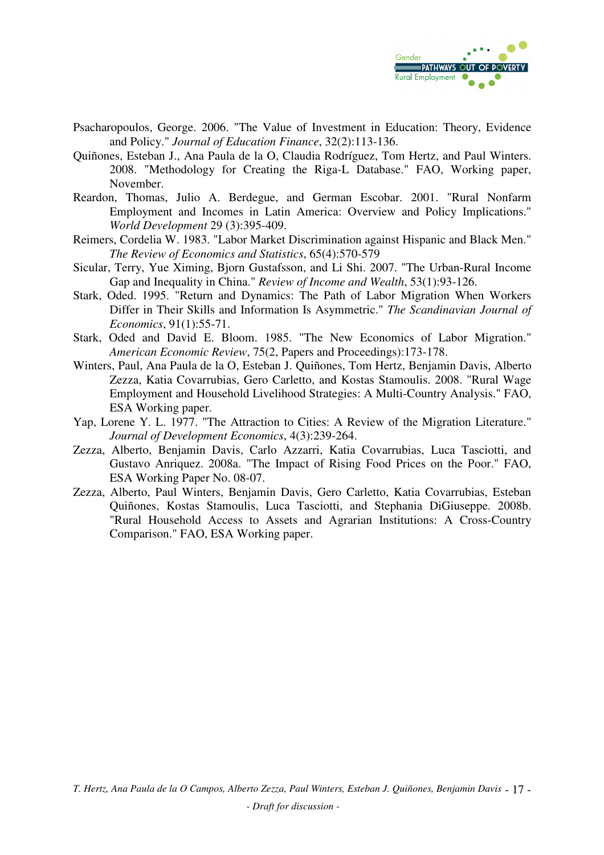

- Psacharopoulos, George. 2006. "The Value of Investment in Education: Theory, Evidence and Policy." *Journal of Education Finance*, 32(2):113-136.
- Quiñones, Esteban J., Ana Paula de la O, Claudia Rodríguez, Tom Hertz, and Paul Winters. 2008. "Methodology for Creating the Riga-L Database." FAO, Working paper, November.
- Reardon, Thomas, Julio A. Berdegue, and German Escobar. 2001. "Rural Nonfarm Employment and Incomes in Latin America: Overview and Policy Implications." *World Development* 29 (3):395-409.
- Reimers, Cordelia W. 1983. "Labor Market Discrimination against Hispanic and Black Men." *The Review of Economics and Statistics*, 65(4):570-579
- Sicular, Terry, Yue Ximing, Bjorn Gustafsson, and Li Shi. 2007. "The Urban-Rural Income Gap and Inequality in China." *Review of Income and Wealth*, 53(1):93-126.
- Stark, Oded. 1995. "Return and Dynamics: The Path of Labor Migration When Workers Differ in Their Skills and Information Is Asymmetric." *The Scandinavian Journal of Economics*, 91(1):55-71.
- Stark, Oded and David E. Bloom. 1985. "The New Economics of Labor Migration." *American Economic Review*, 75(2, Papers and Proceedings):173-178.
- Winters, Paul, Ana Paula de la O, Esteban J. Quiñones, Tom Hertz, Benjamin Davis, Alberto Zezza, Katia Covarrubias, Gero Carletto, and Kostas Stamoulis. 2008. "Rural Wage Employment and Household Livelihood Strategies: A Multi-Country Analysis." FAO, ESA Working paper.
- Yap, Lorene Y. L. 1977. "The Attraction to Cities: A Review of the Migration Literature." *Journal of Development Economics*, 4(3):239-264.
- Zezza, Alberto, Benjamin Davis, Carlo Azzarri, Katia Covarrubias, Luca Tasciotti, and Gustavo Anriquez. 2008a. "The Impact of Rising Food Prices on the Poor." FAO, ESA Working Paper No. 08-07.
- Zezza, Alberto, Paul Winters, Benjamin Davis, Gero Carletto, Katia Covarrubias, Esteban Quiñones, Kostas Stamoulis, Luca Tasciotti, and Stephania DiGiuseppe. 2008b. "Rural Household Access to Assets and Agrarian Institutions: A Cross-Country Comparison." FAO, ESA Working paper.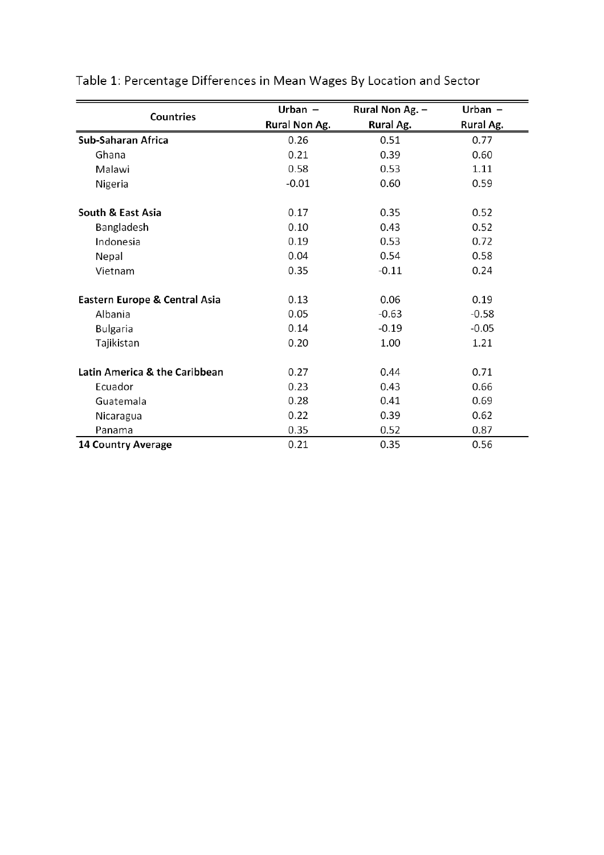| Countries                     | Urban $-$     | Rural Non Ag. - | Urban $-$ |
|-------------------------------|---------------|-----------------|-----------|
|                               | Rural Non Ag. | Rural Ag.       | Rural Ag. |
| Sub-Saharan Africa            | 0.26          | 0.51            | 0.77      |
| Ghana                         | 0.21          | 0.39            | 0.60      |
| Malawi                        | 0.58          | 0.53            | 1.11      |
| Nigeria                       | $-0.01$       | 0.60            | 0.59      |
| South & East Asia             | 0.17          | 0.35            | 0.52      |
| Bangladesh                    | 0.10          | 0.43            | 0.52      |
| Indonesia                     | 0.19          | 0.53            | 0.72      |
| Nepal                         | 0.04          | 0.54            | 0.58      |
| Vietnam                       | 0.35          | $-0.11$         | 0.24      |
| Eastern Europe & Central Asia | 0.13          | 0.06            | 0.19      |
| Albania                       | 0.05          | $-0.63$         | $-0.58$   |
| <b>Bulgaria</b>               | 0.14          | $-0.19$         | $-0.05$   |
| Tajikistan                    | 0.20          | 1.00            | 1.21      |
| Latin America & the Caribbean | 0.27          | 0.44            | 0.71      |
| Ecuador                       | 0.23          | 0.43            | 0.66      |
| Guatemala                     | 0.28          | 0.41            | 0.69      |
| Nicaragua                     | 0.22          | 0.39            | 0.62      |
| Panama                        | 0.35          | 0.52            | 0.87      |
| 14 Country Average            | 0.21          | 0.35            | 0.56      |

# Table 1: Percentage Differences in Mean Wages By Location and Sector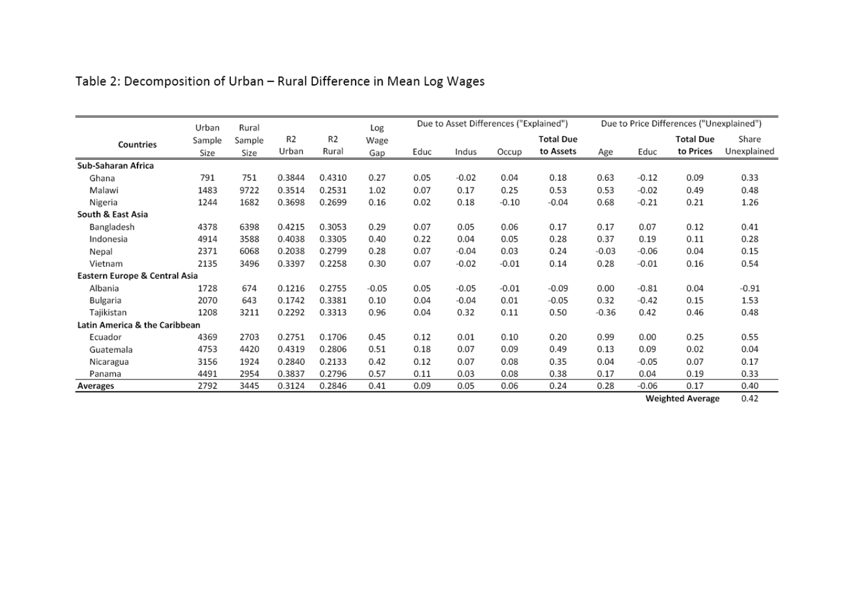|                               | Urban  | Rural  |        |                | Log     | Due to Price Differences ("Unexplained")<br>Due to Asset Differences ("Explained") |         |         |                  |         |         |                  |             |
|-------------------------------|--------|--------|--------|----------------|---------|------------------------------------------------------------------------------------|---------|---------|------------------|---------|---------|------------------|-------------|
| Countries                     | Sample | Sample | R2     | R <sub>2</sub> | Wage    |                                                                                    |         |         | <b>Total Due</b> |         |         | <b>Total Due</b> | Share       |
|                               | Size   | Size   | Urban  | Rural          | Gap     | Educ                                                                               | Indus   | Occup   | to Assets        | Age     | Educ    | to Prices        | Unexplained |
| Sub-Saharan Africa            |        |        |        |                |         |                                                                                    |         |         |                  |         |         |                  |             |
| Ghana                         | 791    | 751    | 0.3844 | 0.4310         | 0.27    | 0.05                                                                               | $-0.02$ | 0.04    | 0.18             | 0.63    | $-0.12$ | 0.09             | 0.33        |
| Malawi                        | 1483   | 9722   | 0.3514 | 0.2531         | 1.02    | 0.07                                                                               | 0.17    | 0.25    | 0.53             | 0.53    | $-0.02$ | 0.49             | 0.48        |
| Nigeria                       | 1244   | 1682   | 0.3698 | 0.2699         | 0.16    | 0.02                                                                               | 0.18    | $-0.10$ | $-0.04$          | 0.68    | $-0.21$ | 0.21             | 1.26        |
| South & East Asia             |        |        |        |                |         |                                                                                    |         |         |                  |         |         |                  |             |
| Bangladesh                    | 4378   | 6398   | 0.4215 | 0.3053         | 0.29    | 0.07                                                                               | 0.05    | 0.06    | 0.17             | 0.17    | 0.07    | 0.12             | 0.41        |
| Indonesia                     | 4914   | 3588   | 0.4038 | 0.3305         | 0.40    | 0.22                                                                               | 0.04    | 0.05    | 0.28             | 0.37    | 0.19    | 0.11             | 0.28        |
| Nepal                         | 2371   | 6068   | 0.2038 | 0.2799         | 0.28    | 0.07                                                                               | $-0.04$ | 0.03    | 0.24             | $-0.03$ | $-0.06$ | 0.04             | 0.15        |
| Vietnam                       | 2135   | 3496   | 0.3397 | 0.2258         | 0.30    | 0.07                                                                               | $-0.02$ | $-0.01$ | 0.14             | 0.28    | $-0.01$ | 0.16             | 0.54        |
| Eastern Europe & Central Asia |        |        |        |                |         |                                                                                    |         |         |                  |         |         |                  |             |
| Albania                       | 1728   | 674    | 0.1216 | 0.2755         | $-0.05$ | 0.05                                                                               | $-0.05$ | $-0.01$ | $-0.09$          | 0.00    | $-0.81$ | 0.04             | $-0.91$     |
| Bulgaria                      | 2070   | 643    | 0.1742 | 0.3381         | 0.10    | 0.04                                                                               | $-0.04$ | 0.01    | $-0.05$          | 0.32    | $-0.42$ | 0.15             | 1.53        |
| Tajikistan                    | 1208   | 3211   | 0.2292 | 0.3313         | 0.96    | 0.04                                                                               | 0.32    | 0.11    | 0.50             | $-0.36$ | 0.42    | 0.46             | 0.48        |
| Latin America & the Caribbean |        |        |        |                |         |                                                                                    |         |         |                  |         |         |                  |             |
| Ecuador                       | 4369   | 2703   | 0.2751 | 0.1706         | 0.45    | 0.12                                                                               | 0.01    | 0.10    | 0.20             | 0.99    | 0.00    | 0.25             | 0.55        |
| Guatemala                     | 4753   | 4420   | 0.4319 | 0.2806         | 0.51    | 0.18                                                                               | 0.07    | 0.09    | 0.49             | 0.13    | 0.09    | 0.02             | 0.04        |
| Nicaragua                     | 3156   | 1924   | 0.2840 | 0.2133         | 0.42    | 0.12                                                                               | 0.07    | 0.08    | 0.35             | 0.04    | $-0.05$ | 0.07             | 0.17        |
| Panama                        | 4491   | 2954   | 0.3837 | 0.2796         | 0.57    | 0.11                                                                               | 0.03    | 0.08    | 0.38             | 0.17    | 0.04    | 0.19             | 0.33        |
| Averages                      | 2792   | 3445   | 0.3124 | 0.2846         | 0.41    | 0.09                                                                               | 0.05    | 0.06    | 0.24             | 0.28    | $-0.06$ | 0.17             | 0.40        |

# Table 2: Decomposition of Urban - Rural Difference in Mean Log Wages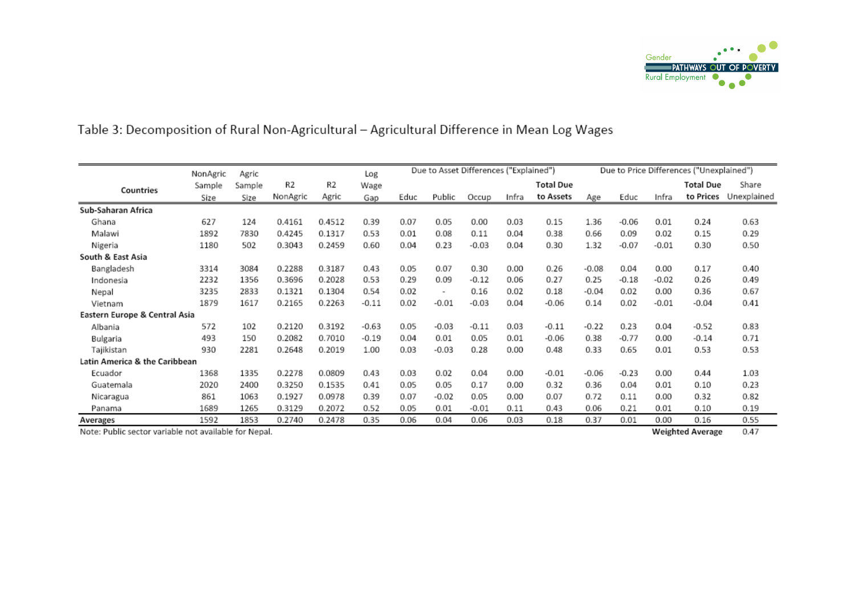

## Table 3: Decomposition of Rural Non-Agricultural - Agricultural Difference in Mean Log Wages

|                               | NonAgric | Agric  |          |        | Log     |      | Due to Asset Differences ("Explained") |         |       |                  |         |         |         | Due to Price Differences ("Unexplained") |             |
|-------------------------------|----------|--------|----------|--------|---------|------|----------------------------------------|---------|-------|------------------|---------|---------|---------|------------------------------------------|-------------|
| Countries                     | Sample   | Sample | R2       | R2     | Wage    |      |                                        |         |       | <b>Total Due</b> |         |         |         | <b>Total Due</b>                         | Share       |
|                               | Size     | Size   | NonAgric | Agric  | Gap     | Educ | Public                                 | Occup   | Infra | to Assets        | Age     | Educ    | Infra   | to Prices                                | Unexplained |
| Sub-Saharan Africa            |          |        |          |        |         |      |                                        |         |       |                  |         |         |         |                                          |             |
| Ghana                         | 627      | 124    | 0.4161   | 0.4512 | 0.39    | 0.07 | 0.05                                   | 0.00    | 0.03  | 0.15             | 1.36    | $-0.06$ | 0.01    | 0.24                                     | 0.63        |
| Malawi                        | 1892     | 7830   | 0.4245   | 0.1317 | 0.53    | 0.01 | 0.08                                   | 0.11    | 0.04  | 0.38             | 0.66    | 0.09    | 0.02    | 0.15                                     | 0.29        |
| Nigeria                       | 1180     | 502    | 0.3043   | 0.2459 | 0.60    | 0.04 | 0.23                                   | $-0.03$ | 0.04  | 0.30             | 1.32    | $-0.07$ | $-0.01$ | 0.30                                     | 0.50        |
| South & East Asia             |          |        |          |        |         |      |                                        |         |       |                  |         |         |         |                                          |             |
| Bangladesh                    | 3314     | 3084   | 0.2288   | 0.3187 | 0.43    | 0.05 | 0.07                                   | 0.30    | 0.00  | 0.26             | $-0.08$ | 0.04    | 0.00    | 0.17                                     | 0.40        |
| Indonesia                     | 2232     | 1356   | 0.3696   | 0.2028 | 0.53    | 0.29 | 0.09                                   | $-0.12$ | 0.06  | 0.27             | 0.25    | $-0.18$ | $-0.02$ | 0.26                                     | 0.49        |
| Nepal                         | 3235     | 2833   | 0.1321   | 0.1304 | 0.54    | 0.02 | $\overline{\phantom{a}}$               | 0.16    | 0.02  | 0.18             | $-0.04$ | 0.02    | 0.00    | 0.36                                     | 0.67        |
| Vietnam                       | 1879     | 1617   | 0.2165   | 0.2263 | $-0.11$ | 0.02 | $-0.01$                                | $-0.03$ | 0.04  | $-0.06$          | 0.14    | 0.02    | $-0.01$ | $-0.04$                                  | 0.41        |
| Eastern Europe & Central Asia |          |        |          |        |         |      |                                        |         |       |                  |         |         |         |                                          |             |
| Albania                       | 572      | 102    | 0.2120   | 0.3192 | $-0.63$ | 0.05 | $-0.03$                                | $-0.11$ | 0.03  | $-0.11$          | $-0.22$ | 0.23    | 0.04    | $-0.52$                                  | 0.83        |
| Bulgaria                      | 493      | 150    | 0.2082   | 0.7010 | $-0.19$ | 0.04 | 0.01                                   | 0.05    | 0.01  | $-0.06$          | 0.38    | $-0.77$ | 0.00    | $-0.14$                                  | 0.71        |
| Tajikistan                    | 930      | 2281   | 0.2648   | 0.2019 | 1.00    | 0.03 | $-0.03$                                | 0.28    | 0.00  | 0.48             | 0.33    | 0.65    | 0.01    | 0.53                                     | 0.53        |
| Latin America & the Caribbean |          |        |          |        |         |      |                                        |         |       |                  |         |         |         |                                          |             |
| Ecuador                       | 1368     | 1335   | 0.2278   | 0.0809 | 0.43    | 0.03 | 0.02                                   | 0.04    | 0.00  | $-0.01$          | $-0.06$ | $-0.23$ | 0.00    | 0.44                                     | 1.03        |
| Guatemala                     | 2020     | 2400   | 0.3250   | 0.1535 | 0.41    | 0.05 | 0.05                                   | 0.17    | 0.00  | 0.32             | 0.36    | 0.04    | 0.01    | 0.10                                     | 0.23        |
| Nicaragua                     | 861      | 1063   | 0.1927   | 0.0978 | 0.39    | 0.07 | $-0.02$                                | 0.05    | 0.00  | 0.07             | 0.72    | 0.11    | 0.00    | 0.32                                     | 0.82        |
| Panama                        | 1689     | 1265   | 0.3129   | 0.2072 | 0.52    | 0.05 | 0.01                                   | $-0.01$ | 0.11  | 0.43             | 0.06    | 0.21    | 0.01    | 0.10                                     | 0.19        |
| Averages                      | 1592     | 1853   | 0.2740   | 0.2478 | 0.35    | 0.06 | 0.04                                   | 0.06    | 0.03  | 0.18             | 0.37    | 0.01    | 0.00    | 0.16                                     | 0.55        |

Note: Public sector variable not available for Nepal.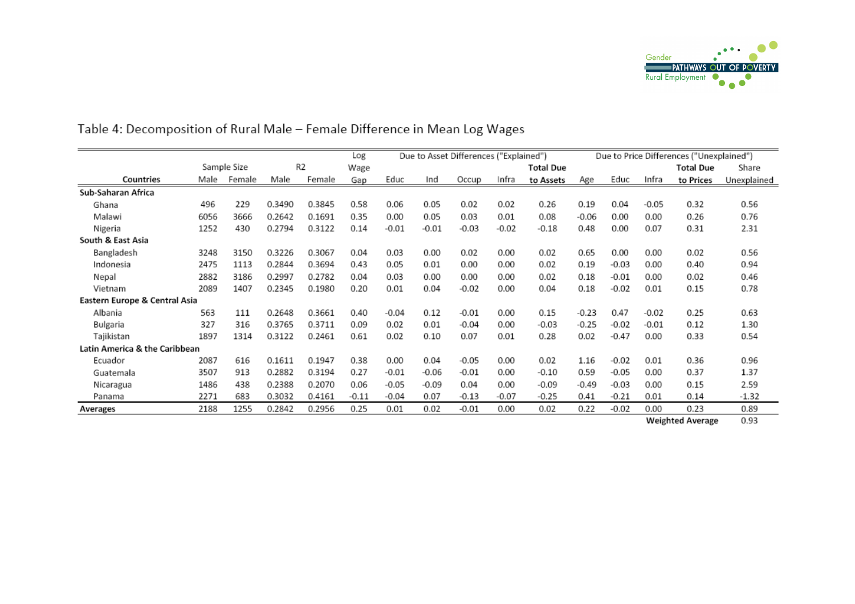

|                               |      |             |        |                | Log     |         |         | Due to Asset Differences ("Explained") |         |                  |         | Due to Price Differences ("Unexplained") |         |                  |             |  |
|-------------------------------|------|-------------|--------|----------------|---------|---------|---------|----------------------------------------|---------|------------------|---------|------------------------------------------|---------|------------------|-------------|--|
|                               |      | Sample Size |        | R <sub>2</sub> | Wage    |         |         |                                        |         | <b>Total Due</b> |         |                                          |         | <b>Total Due</b> | Share       |  |
| Countries                     | Male | Female      | Male   | Female         | Gap     | Educ    | Ind     | Occup                                  | Infra   | to Assets        | Age     | Educ                                     | Infra   | to Prices        | Unexplained |  |
| Sub-Saharan Africa            |      |             |        |                |         |         |         |                                        |         |                  |         |                                          |         |                  |             |  |
| Ghana                         | 496  | 229         | 0.3490 | 0.3845         | 0.58    | 0.06    | 0.05    | 0.02                                   | 0.02    | 0.26             | 0.19    | 0.04                                     | $-0.05$ | 0.32             | 0.56        |  |
| Malawi                        | 6056 | 3666        | 0.2642 | 0.1691         | 0.35    | 0.00    | 0.05    | 0.03                                   | 0.01    | 0.08             | $-0.06$ | 0.00                                     | 0.00    | 0.26             | 0.76        |  |
| Nigeria                       | 1252 | 430         | 0.2794 | 0.3122         | 0.14    | $-0.01$ | $-0.01$ | $-0.03$                                | $-0.02$ | $-0.18$          | 0.48    | 0.00                                     | 0.07    | 0.31             | 2.31        |  |
| South & East Asia             |      |             |        |                |         |         |         |                                        |         |                  |         |                                          |         |                  |             |  |
| Bangladesh                    | 3248 | 3150        | 0.3226 | 0.3067         | 0.04    | 0.03    | 0.00    | 0.02                                   | 0.00    | 0.02             | 0.65    | 0.00                                     | 0.00    | 0.02             | 0.56        |  |
| Indonesia                     | 2475 | 1113        | 0.2844 | 0.3694         | 0.43    | 0.05    | 0.01    | 0.00                                   | 0.00    | 0.02             | 0.19    | $-0.03$                                  | 0.00    | 0.40             | 0.94        |  |
| Nepal                         | 2882 | 3186        | 0.2997 | 0.2782         | 0.04    | 0.03    | 0.00    | 0.00                                   | 0.00    | 0.02             | 0.18    | $-0.01$                                  | 0.00    | 0.02             | 0.46        |  |
| Vietnam                       | 2089 | 1407        | 0.2345 | 0.1980         | 0.20    | 0.01    | 0.04    | $-0.02$                                | 0.00    | 0.04             | 0.18    | $-0.02$                                  | 0.01    | 0.15             | 0.78        |  |
| Eastern Europe & Central Asia |      |             |        |                |         |         |         |                                        |         |                  |         |                                          |         |                  |             |  |
| Albania                       | 563  | 111         | 0.2648 | 0.3661         | 0.40    | $-0.04$ | 0.12    | $-0.01$                                | 0.00    | 0.15             | $-0.23$ | 0.47                                     | $-0.02$ | 0.25             | 0.63        |  |
| Bulgaria                      | 327  | 316         | 0.3765 | 0.3711         | 0.09    | 0.02    | 0.01    | $-0.04$                                | 0.00    | $-0.03$          | $-0.25$ | $-0.02$                                  | $-0.01$ | 0.12             | 1.30        |  |
| Tajikistan                    | 1897 | 1314        | 0.3122 | 0.2461         | 0.61    | 0.02    | 0.10    | 0.07                                   | 0.01    | 0.28             | 0.02    | $-0.47$                                  | 0.00    | 0.33             | 0.54        |  |
| Latin America & the Caribbean |      |             |        |                |         |         |         |                                        |         |                  |         |                                          |         |                  |             |  |
| Ecuador                       | 2087 | 616         | 0.1611 | 0.1947         | 0.38    | 0.00    | 0.04    | $-0.05$                                | 0.00    | 0.02             | 1.16    | $-0.02$                                  | 0.01    | 0.36             | 0.96        |  |
| Guatemala                     | 3507 | 913         | 0.2882 | 0.3194         | 0.27    | $-0.01$ | $-0.06$ | $-0.01$                                | 0.00    | $-0.10$          | 0.59    | $-0.05$                                  | 0.00    | 0.37             | 1.37        |  |
| Nicaragua                     | 1486 | 438         | 0.2388 | 0.2070         | 0.06    | $-0.05$ | $-0.09$ | 0.04                                   | 0.00    | $-0.09$          | $-0.49$ | $-0.03$                                  | 0.00    | 0.15             | 2.59        |  |
| Panama                        | 2271 | 683         | 0.3032 | 0.4161         | $-0.11$ | $-0.04$ | 0.07    | $-0.13$                                | $-0.07$ | $-0.25$          | 0.41    | $-0.21$                                  | 0.01    | 0.14             | $-1.32$     |  |
| Averages                      | 2188 | 1255        | 0.2842 | 0.2956         | 0.25    | 0.01    | 0.02    | $-0.01$                                | 0.00    | 0.02             | 0.22    | $-0.02$                                  | 0.00    | 0.23             | 0.89        |  |

# Table 4: Decomposition of Rural Male - Female Difference in Mean Log Wages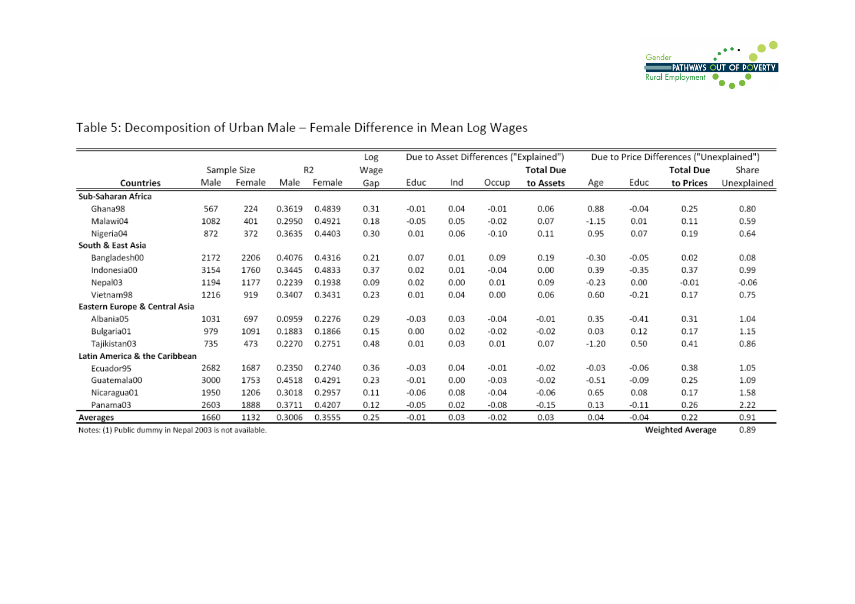

|                               |      |             |        |                | Log  |         |      |         | Due to Asset Differences ("Explained") | Due to Price Differences ("Unexplained") |         |           |             |
|-------------------------------|------|-------------|--------|----------------|------|---------|------|---------|----------------------------------------|------------------------------------------|---------|-----------|-------------|
|                               |      | Sample Size |        | R <sub>2</sub> | Wage |         |      |         | <b>Total Due</b>                       |                                          |         | Total Due | Share       |
| Countries                     | Male | Female      | Male   | Female         | Gap  | Educ    | Ind  | Occup   | to Assets                              | Age                                      | Educ    | to Prices | Unexplained |
| Sub-Saharan Africa            |      |             |        |                |      |         |      |         |                                        |                                          |         |           |             |
| Ghana98                       | 567  | 224         | 0.3619 | 0.4839         | 0.31 | $-0.01$ | 0.04 | $-0.01$ | 0.06                                   | 0.88                                     | $-0.04$ | 0.25      | 0.80        |
| Malawi04                      | 1082 | 401         | 0.2950 | 0.4921         | 0.18 | $-0.05$ | 0.05 | $-0.02$ | 0.07                                   | $-1.15$                                  | 0.01    | 0.11      | 0.59        |
| Nigeria04                     | 872  | 372         | 0.3635 | 0.4403         | 0.30 | 0.01    | 0.06 | $-0.10$ | 0.11                                   | 0.95                                     | 0.07    | 0.19      | 0.64        |
| South & East Asia             |      |             |        |                |      |         |      |         |                                        |                                          |         |           |             |
| Bangladesh00                  | 2172 | 2206        | 0.4076 | 0.4316         | 0.21 | 0.07    | 0.01 | 0.09    | 0.19                                   | $-0.30$                                  | $-0.05$ | 0.02      | 0.08        |
| Indonesia00                   | 3154 | 1760        | 0.3445 | 0.4833         | 0.37 | 0.02    | 0.01 | $-0.04$ | 0.00                                   | 0.39                                     | $-0.35$ | 0.37      | 0.99        |
| Nepal03                       | 1194 | 1177        | 0.2239 | 0.1938         | 0.09 | 0.02    | 0.00 | 0.01    | 0.09                                   | $-0.23$                                  | 0.00    | $-0.01$   | $-0.06$     |
| Vietnam98                     | 1216 | 919         | 0.3407 | 0.3431         | 0.23 | 0.01    | 0.04 | 0.00    | 0.06                                   | 0.60                                     | $-0.21$ | 0.17      | 0.75        |
| Eastern Europe & Central Asia |      |             |        |                |      |         |      |         |                                        |                                          |         |           |             |
| Albania05                     | 1031 | 697         | 0.0959 | 0.2276         | 0.29 | $-0.03$ | 0.03 | $-0.04$ | $-0.01$                                | 0.35                                     | $-0.41$ | 0.31      | 1.04        |
| Bulgaria01                    | 979  | 1091        | 0.1883 | 0.1866         | 0.15 | 0.00    | 0.02 | $-0.02$ | $-0.02$                                | 0.03                                     | 0.12    | 0.17      | 1.15        |
| Tajikistan03                  | 735  | 473         | 0.2270 | 0.2751         | 0.48 | 0.01    | 0.03 | 0.01    | 0.07                                   | $-1.20$                                  | 0.50    | 0.41      | 0.86        |
| Latin America & the Caribbean |      |             |        |                |      |         |      |         |                                        |                                          |         |           |             |
| Ecuador95                     | 2682 | 1687        | 0.2350 | 0.2740         | 0.36 | $-0.03$ | 0.04 | $-0.01$ | $-0.02$                                | $-0.03$                                  | $-0.06$ | 0.38      | 1.05        |
| Guatemala00                   | 3000 | 1753        | 0.4518 | 0.4291         | 0.23 | $-0.01$ | 0.00 | $-0.03$ | $-0.02$                                | $-0.51$                                  | $-0.09$ | 0.25      | 1.09        |
| Nicaragua01                   | 1950 | 1206        | 0.3018 | 0.2957         | 0.11 | $-0.06$ | 0.08 | $-0.04$ | $-0.06$                                | 0.65                                     | 0.08    | 0.17      | 1.58        |
| Panama03                      | 2603 | 1888        | 0.3711 | 0.4207         | 0.12 | $-0.05$ | 0.02 | $-0.08$ | $-0.15$                                | 0.13                                     | $-0.11$ | 0.26      | 2.22        |
| Averages                      | 1660 | 1132        | 0.3006 | 0.3555         | 0.25 | $-0.01$ | 0.03 | $-0.02$ | 0.03                                   | 0.04                                     | $-0.04$ | 0.22      | 0.91        |

## Table 5: Decomposition of Urban Male - Female Difference in Mean Log Wages

Notes: (1) Public dummy in Nepal 2003 is not available.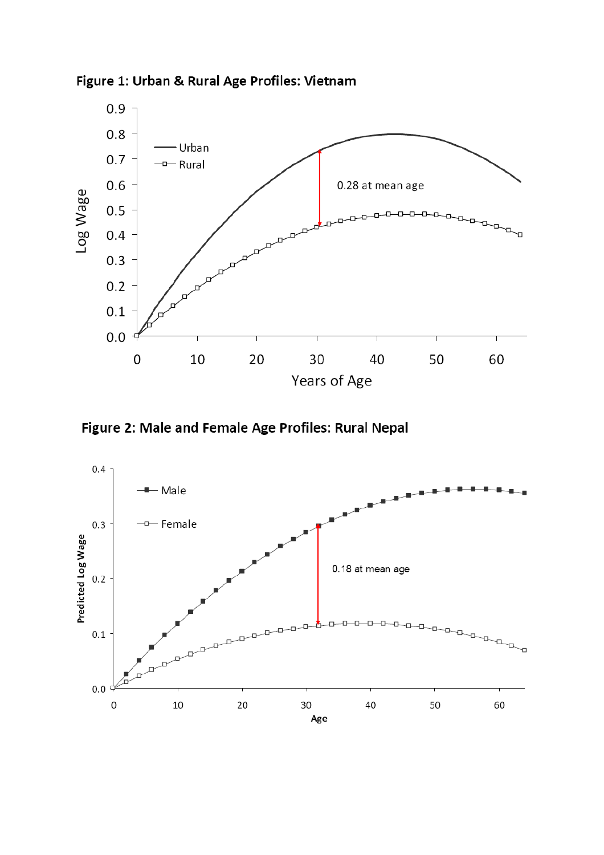

Figure 1: Urban & Rural Age Profiles: Vietnam

Figure 2: Male and Female Age Profiles: Rural Nepal

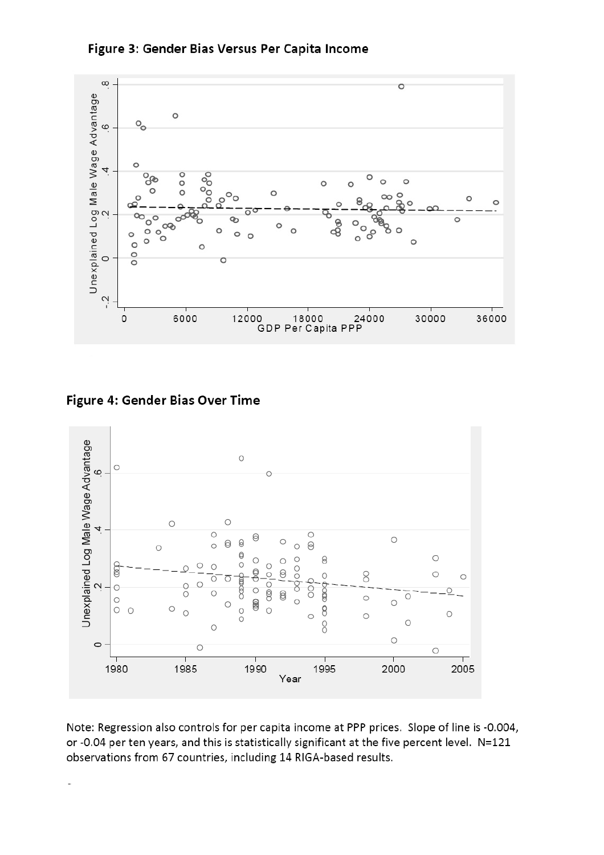



Figure 4: Gender Bias Over Time



Note: Regression also controls for per capita income at PPP prices. Slope of line is -0.004, or -0.04 per ten years, and this is statistically significant at the five percent level. N=121 observations from 67 countries, including 14 RIGA-based results.

 $\overline{a}$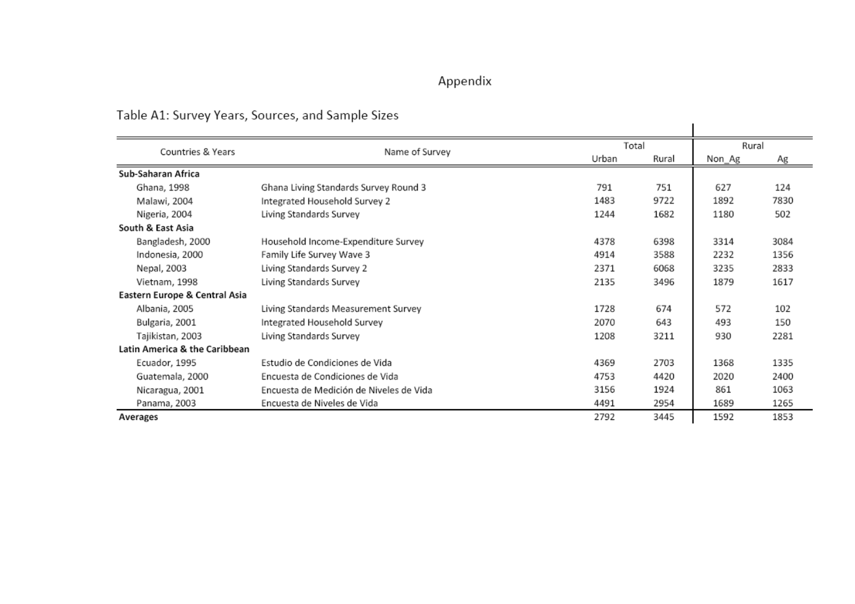# Appendix

# Table A1: Survey Years, Sources, and Sample Sizes

|                               | rapic AI. Jurvey Tears, Jources, and Jampic Sizes. |       |       |        |      |
|-------------------------------|----------------------------------------------------|-------|-------|--------|------|
| Countries & Years             | Name of Survey                                     |       | Total | Rural  |      |
|                               |                                                    | Urban | Rural | Non_Ag | Ag   |
| Sub-Saharan Africa            |                                                    |       |       |        |      |
| Ghana, 1998                   | Ghana Living Standards Survey Round 3              | 791   | 751   | 627    | 124  |
| Malawi, 2004                  | Integrated Household Survey 2                      | 1483  | 9722  | 1892   | 7830 |
| Nigeria, 2004                 | Living Standards Survey                            | 1244  | 1682  | 1180   | 502  |
| South & East Asia             |                                                    |       |       |        |      |
| Bangladesh, 2000              | Household Income-Expenditure Survey                | 4378  | 6398  | 3314   | 3084 |
| Indonesia, 2000               | Family Life Survey Wave 3                          | 4914  | 3588  | 2232   | 1356 |
| Nepal, 2003                   | Living Standards Survey 2                          | 2371  | 6068  | 3235   | 2833 |
| Vietnam, 1998                 | Living Standards Survey                            | 2135  | 3496  | 1879   | 1617 |
| Eastern Europe & Central Asia |                                                    |       |       |        |      |
| Albania, 2005                 | Living Standards Measurement Survey                | 1728  | 674   | 572    | 102  |
| Bulgaria, 2001                | Integrated Household Survey                        | 2070  | 643   | 493    | 150  |
| Tajikistan, 2003              | Living Standards Survey                            | 1208  | 3211  | 930    | 2281 |
| Latin America & the Caribbean |                                                    |       |       |        |      |
| Ecuador, 1995                 | Estudio de Condiciones de Vida                     | 4369  | 2703  | 1368   | 1335 |
| Guatemala, 2000               | Encuesta de Condiciones de Vida                    | 4753  | 4420  | 2020   | 2400 |
| Nicaragua, 2001               | Encuesta de Medición de Niveles de Vida            | 3156  | 1924  | 861    | 1063 |
| Panama, 2003                  | Encuesta de Niveles de Vida                        | 4491  | 2954  | 1689   | 1265 |
| Averages                      |                                                    | 2792  | 3445  | 1592   | 1853 |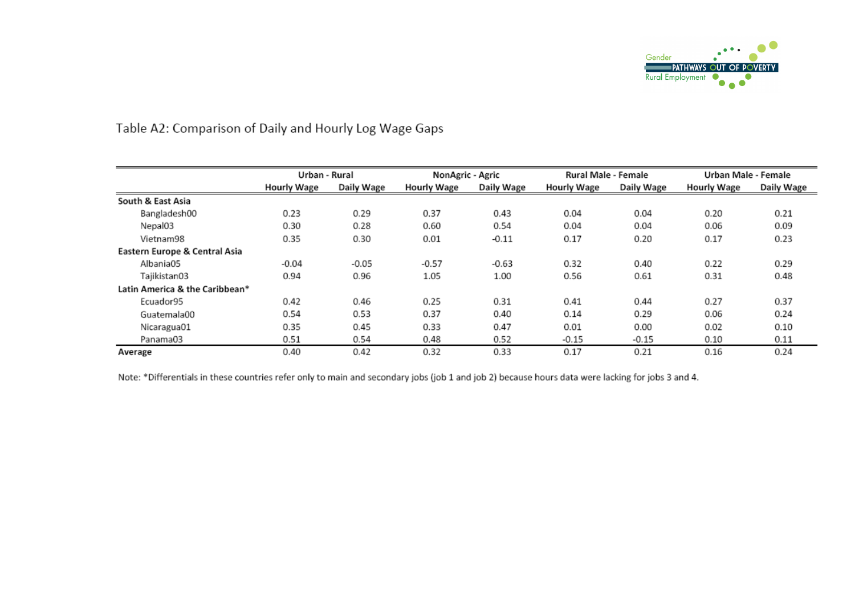

## Table A2: Comparison of Daily and Hourly Log Wage Gaps

|                                | Urban - Rural      |            | NonAgric - Agric   |            | Rural Male - Female |            | Urban Male - Female |            |
|--------------------------------|--------------------|------------|--------------------|------------|---------------------|------------|---------------------|------------|
|                                | <b>Hourly Wage</b> | Daily Wage | <b>Hourly Wage</b> | Daily Wage | Hourly Wage         | Daily Wage | <b>Hourly Wage</b>  | Daily Wage |
| South & East Asia              |                    |            |                    |            |                     |            |                     |            |
| Bangladesh00                   | 0.23               | 0.29       | 0.37               | 0.43       | 0.04                | 0.04       | 0.20                | 0.21       |
| Nepal03                        | 0.30               | 0.28       | 0.60               | 0.54       | 0.04                | 0.04       | 0.06                | 0.09       |
| Vietnam98                      | 0.35               | 0.30       | 0.01               | $-0.11$    | 0.17                | 0.20       | 0.17                | 0.23       |
| Eastern Europe & Central Asia  |                    |            |                    |            |                     |            |                     |            |
| Albania05                      | $-0.04$            | $-0.05$    | $-0.57$            | $-0.63$    | 0.32                | 0.40       | 0.22                | 0.29       |
| Tajikistan03                   | 0.94               | 0.96       | 1.05               | 1.00       | 0.56                | 0.61       | 0.31                | 0.48       |
| Latin America & the Caribbean* |                    |            |                    |            |                     |            |                     |            |
| Ecuador95                      | 0.42               | 0.46       | 0.25               | 0.31       | 0.41                | 0.44       | 0.27                | 0.37       |
| Guatemala00                    | 0.54               | 0.53       | 0.37               | 0.40       | 0.14                | 0.29       | 0.06                | 0.24       |
| Nicaragua01                    | 0.35               | 0.45       | 0.33               | 0.47       | 0.01                | 0.00       | 0.02                | 0.10       |
| Panama03                       | 0.51               | 0.54       | 0.48               | 0.52       | $-0.15$             | $-0.15$    | 0.10                | 0.11       |
| Average                        | 0.40               | 0.42       | 0.32               | 0.33       | 0.17                | 0.21       | 0.16                | 0.24       |

Note: \*Differentials in these countries refer only to main and secondary jobs (job 1 and job 2) because hours data were lacking for jobs 3 and 4.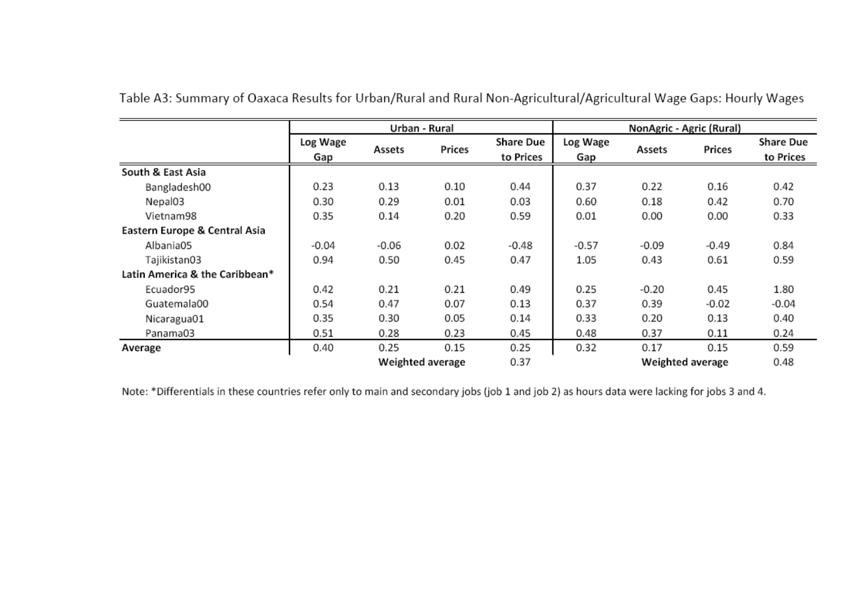|                                |                 |         | Urban - Rural    |                               |                 |         | NonAgric - Agric (Rural) |                               |
|--------------------------------|-----------------|---------|------------------|-------------------------------|-----------------|---------|--------------------------|-------------------------------|
|                                | Log Wage<br>Gap | Assets  | Prices           | <b>Share Due</b><br>to Prices | Log Wage<br>Gap | Assets  | Prices                   | <b>Share Due</b><br>to Prices |
| South & East Asia              |                 |         |                  |                               |                 |         |                          |                               |
| Bangladesh00                   | 0.23            | 0.13    | 0.10             | 0.44                          | 0.37            | 0.22    | 0.16                     | 0.42                          |
| Nepal03                        | 0.30            | 0.29    | 0.01             | 0.03                          | 0.60            | 0.18    | 0.42                     | 0.70                          |
| Vietnam98                      | 0.35            | 0.14    | 0.20             | 0.59                          | 0.01            | 0.00    | 0.00                     | 0.33                          |
| Eastern Europe & Central Asia  |                 |         |                  |                               |                 |         |                          |                               |
| Albania05                      | $-0.04$         | $-0.06$ | 0.02             | $-0.48$                       | $-0.57$         | $-0.09$ | $-0.49$                  | 0.84                          |
| Tajikistan03                   | 0.94            | 0.50    | 0.45             | 0.47                          | 1.05            | 0.43    | 0.61                     | 0.59                          |
| Latin America & the Caribbean* |                 |         |                  |                               |                 |         |                          |                               |
| Ecuador95                      | 0.42            | 0.21    | 0.21             | 0.49                          | 0.25            | $-0.20$ | 0.45                     | 1.80                          |
| Guatemala00                    | 0.54            | 0.47    | 0.07             | 0.13                          | 0.37            | 0.39    | $-0.02$                  | $-0.04$                       |
| Nicaragua01                    | 0.35            | 0.30    | 0.05             | 0.14                          | 0.33            | 0.20    | 0.13                     | 0.40                          |
| Panama03                       | 0.51            | 0.28    | 0.23             | 0.45                          | 0.48            | 0.37    | 0.11                     | 0.24                          |
| Average                        | 0.40            | 0.25    | 0.15             | 0.25                          | 0.32            | 0.17    | 0.15                     | 0.59                          |
|                                |                 |         | Weighted average | 0.37                          |                 | 0.48    |                          |                               |

Table A3: Summary of Oaxaca Results for Urban/Rural and Rural Non-Agricultural/Agricultural Wage Gaps: Hourly Wages

Note: \*Differentials in these countries refer only to main and secondary jobs (job 1 and job 2) as hours data were lacking for jobs 3 and 4.